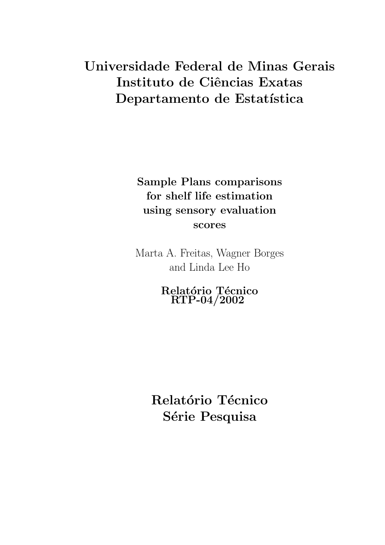# Universidade Federal de Minas Gerais Instituto de Ciências Exatas Departamento de Estatística

Sample Plans comparisons for shelf life estimation using sensory evaluation scores

Marta A. Freitas, Wagner Borges and Linda Lee Ho

> Relatório Técnico RTP-04/2002

Relatório Técnico Série Pesquisa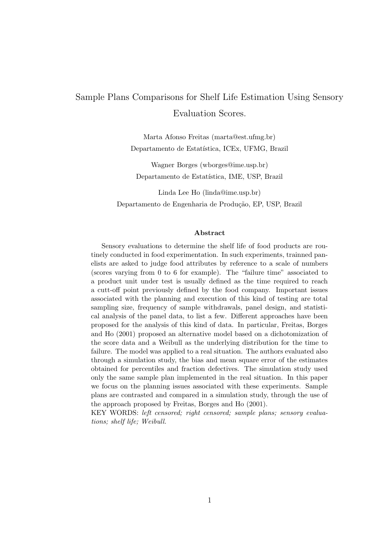## Sample Plans Comparisons for Shelf Life Estimation Using Sensory Evaluation Scores.

Marta Afonso Freitas (marta@est.ufmg.br) Departamento de Estatística, ICEx, UFMG, Brazil

Wagner Borges (wborges@ime.usp.br) Departamento de Estatística, IME, USP, Brazil

Linda Lee Ho (linda@ime.usp.br) Departamento de Engenharia de Produção, EP, USP, Brazil

#### Abstract

Sensory evaluations to determine the shelf life of food products are routinely conducted in food experimentation. In such experiments, trainned panelists are asked to judge food attributes by reference to a scale of numbers (scores varying from 0 to 6 for example). The "failure time" associated to a product unit under test is usually defined as the time required to reach a cutt-off point previously defined by the food company. Important issues associated with the planning and execution of this kind of testing are total sampling size, frequency of sample withdrawals, panel design, and statistical analysis of the panel data, to list a few. Different approaches have been proposed for the analysis of this kind of data. In particular, Freitas, Borges and Ho (2001) proposed an alternative model based on a dichotomization of the score data and a Weibull as the underlying distribution for the time to failure. The model was applied to a real situation. The authors evaluated also through a simulation study, the bias and mean square error of the estimates obtained for percentiles and fraction defectives. The simulation study used only the same sample plan implemented in the real situation. In this paper we focus on the planning issues associated with these experiments. Sample plans are contrasted and compared in a simulation study, through the use of the approach proposed by Freitas, Borges and Ho (2001).

KEY WORDS: left censored; right censored; sample plans; sensory evaluations; shelf life; Weibull.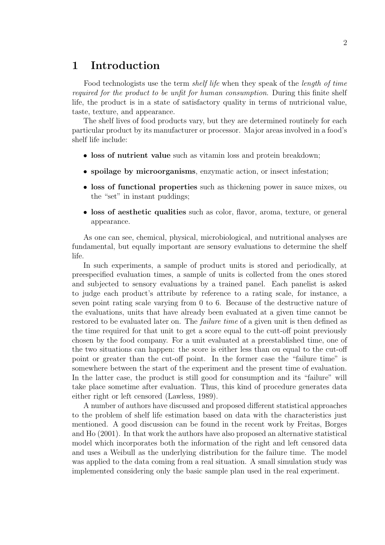### 1 Introduction

Food technologists use the term shelf life when they speak of the length of time required for the product to be unfit for human consumption. During this finite shelf life, the product is in a state of satisfactory quality in terms of nutricional value, taste, texture, and appearance.

The shelf lives of food products vary, but they are determined routinely for each particular product by its manufacturer or processor. Major areas involved in a food's shelf life include:

- loss of nutrient value such as vitamin loss and protein breakdown;
- spoilage by microorganisms, enzymatic action, or insect infestation;
- loss of functional properties such as thickening power in sauce mixes, ou the "set" in instant puddings;
- loss of aesthetic qualities such as color, flavor, aroma, texture, or general appearance.

As one can see, chemical, physical, microbiological, and nutritional analyses are fundamental, but equally important are sensory evaluations to determine the shelf life.

In such experiments, a sample of product units is stored and periodically, at preespecified evaluation times, a sample of units is collected from the ones stored and subjected to sensory evaluations by a trained panel. Each panelist is asked to judge each product's attribute by reference to a rating scale, for instance, a seven point rating scale varying from 0 to 6. Because of the destructive nature of the evaluations, units that have already been evaluated at a given time cannot be restored to be evaluated later on. The *failure time* of a given unit is then defined as the time required for that unit to get a score equal to the cutt-off point previously chosen by the food company. For a unit evaluated at a preestablished time, one of the two situations can happen: the score is either less than ou equal to the cut-off point or greater than the cut-off point. In the former case the "failure time" is somewhere between the start of the experiment and the present time of evaluation. In the latter case, the product is still good for consumption and its "failure" will take place sometime after evaluation. Thus, this kind of procedure generates data either right or left censored (Lawless, 1989).

A number of authors have discussed and proposed different statistical approaches to the problem of shelf life estimation based on data with the characteristics just mentioned. A good discussion can be found in the recent work by Freitas, Borges and Ho (2001). In that work the authors have also proposed an alternative statistical model which incorporates both the information of the right and left censored data and uses a Weibull as the underlying distribution for the failure time. The model was applied to the data coming from a real situation. A small simulation study was implemented considering only the basic sample plan used in the real experiment.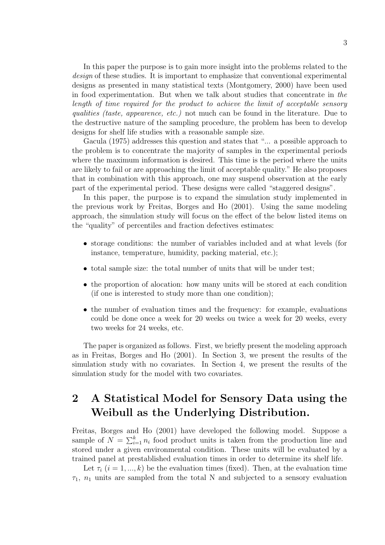In this paper the purpose is to gain more insight into the problems related to the design of these studies. It is important to emphasize that conventional experimental designs as presented in many statistical texts (Montgomery, 2000) have been used in food experimentation. But when we talk about studies that concentrate in the length of time required for the product to achieve the limit of acceptable sensory qualities (taste, appearence, etc.) not much can be found in the literature. Due to the destructive nature of the sampling procedure, the problem has been to develop designs for shelf life studies with a reasonable sample size.

Gacula (1975) addresses this question and states that "... a possible approach to the problem is to concentrate the majority of samples in the experimental periods where the maximum information is desired. This time is the period where the units are likely to fail or are approaching the limit of acceptable quality." He also proposes that in combination with this approach, one may suspend observation at the early part of the experimental period. These designs were called "staggered designs".

In this paper, the purpose is to expand the simulation study implemented in the previous work by Freitas, Borges and Ho (2001). Using the same modeling approach, the simulation study will focus on the effect of the below listed items on the "quality" of percentiles and fraction defectives estimates:

- storage conditions: the number of variables included and at what levels (for instance, temperature, humidity, packing material, etc.);
- total sample size: the total number of units that will be under test;
- the proportion of alocation: how many units will be stored at each condition (if one is interested to study more than one condition);
- the number of evaluation times and the frequency: for example, evaluations could be done once a week for 20 weeks ou twice a week for 20 weeks, every two weeks for 24 weeks, etc.

The paper is organized as follows. First, we briefly present the modeling approach as in Freitas, Borges and Ho (2001). In Section 3, we present the results of the simulation study with no covariates. In Section 4, we present the results of the simulation study for the model with two covariates.

## 2 A Statistical Model for Sensory Data using the Weibull as the Underlying Distribution.

Freitas, Borges and Ho (2001) have developed the following model. Suppose a sample of  $N = \sum_{i=1}^{k} n_i$  food product units is taken from the production line and stored under a given environmental condition. These units will be evaluated by a trained panel at prestablished evaluation times in order to determine its shelf life.

Let  $\tau_i$   $(i = 1, ..., k)$  be the evaluation times (fixed). Then, at the evaluation time  $\tau_1$ ,  $n_1$  units are sampled from the total N and subjected to a sensory evaluation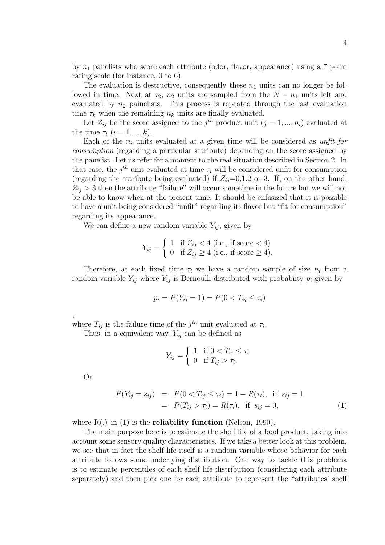by  $n_1$  panelists who score each attribute (odor, flavor, appearance) using a 7 point rating scale (for instance, 0 to 6).

The evaluation is destructive, consequently these  $n_1$  units can no longer be followed in time. Next at  $\tau_2$ ,  $n_2$  units are sampled from the  $N - n_1$  units left and evaluated by  $n_2$  painelists. This process is repeated through the last evaluation time  $\tau_k$  when the remaining  $n_k$  units are finally evaluated.

Let  $Z_{ij}$  be the score assigned to the  $j^{th}$  product unit  $(j = 1, ..., n_i)$  evaluated at the time  $\tau_i$   $(i = 1, ..., k)$ .

Each of the  $n_i$  units evaluated at a given time will be considered as unfit for consumption (regarding a particular attribute) depending on the score assigned by the panelist. Let us refer for a moment to the real situation described in Section 2. In that case, the  $j<sup>th</sup>$  unit evaluated at time  $\tau_i$  will be considered unfit for consumption (regarding the attribute being evaluated) if  $Z_{ij}=0,1,2$  or 3. If, on the other hand,  $Z_{ij} > 3$  then the attribute "failure" will occur sometime in the future but we will not be able to know when at the present time. It should be enfasized that it is possible to have a unit being considered "unfit" regarding its flavor but "fit for consumption" regarding its appearance.

We can define a new random variable  $Y_{ij}$ , given by

$$
Y_{ij} = \begin{cases} 1 & \text{if } Z_{ij} < 4 \text{ (i.e., if score } < 4) \\ 0 & \text{if } Z_{ij} \ge 4 \text{ (i.e., if score } \ge 4). \end{cases}
$$

Therefore, at each fixed time  $\tau_i$  we have a random sample of size  $n_i$  from a random variable  $Y_{ij}$  where  $Y_{ij}$  is Bernoulli distributed with probabiity  $p_i$  given by

$$
p_i = P(Y_{ij} = 1) = P(0 < T_{ij} \le \tau_i)
$$

where  $T_{ij}$  is the failure time of the  $j^{th}$  unit evaluated at  $\tau_i$ .

Thus, in a equivalent way,  $Y_{ij}$  can be defined as

$$
Y_{ij} = \begin{cases} 1 & \text{if } 0 < T_{ij} \le \tau_i \\ 0 & \text{if } T_{ij} > \tau_i. \end{cases}
$$

Or

,

$$
P(Y_{ij} = s_{ij}) = P(0 < T_{ij} \le \tau_i) = 1 - R(\tau_i), \text{ if } s_{ij} = 1
$$
  
= 
$$
P(T_{ij} > \tau_i) = R(\tau_i), \text{ if } s_{ij} = 0,
$$
 (1)

where  $R(.)$  in (1) is the **reliability function** (Nelson, 1990).

The main purpose here is to estimate the shelf life of a food product, taking into account some sensory quality characteristics. If we take a better look at this problem, we see that in fact the shelf life itself is a random variable whose behavior for each attribute follows some underlying distribution. One way to tackle this problema is to estimate percentiles of each shelf life distribution (considering each attribute separately) and then pick one for each attribute to represent the "attributes' shelf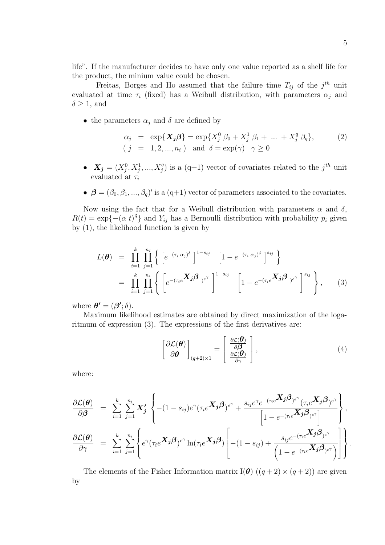life". If the manufacturer decides to have only one value reported as a shelf life for the product, the minium value could be chosen.

Freitas, Borges and Ho assumed that the failure time  $T_{ij}$  of the  $j<sup>th</sup>$  unit evaluated at time  $\tau_i$  (fixed) has a Weibull distribution, with parameters  $\alpha_i$  and  $\delta \geq 1$ , and

• the parameters  $\alpha_j$  and  $\delta$  are defined by

$$
\alpha_j = \exp{\{\mathbf{X}_j \mathbf{\beta}\}} = \exp\{X_j^0 \beta_0 + X_j^1 \beta_1 + \dots + X_j^q \beta_q\},\tag{2}
$$
  
(  $j = 1, 2, ..., n_i$ ) and  $\delta = \exp(\gamma) \gamma \ge 0$ 

- $X_j = (X_j^0, X_j^1, ..., X_j^q)$  $j^{q}$ ) is a (q+1) vector of covariates related to the j<sup>th</sup> unit evaluated at  $\tau_i$
- $\bullet \ \beta = (\beta_0, \beta_1, ..., \beta_q)'$  is a (q+1) vector of parameters associated to the covariates.

Now using the fact that for a Weibull distribution with parameters  $\alpha$  and  $\delta$ ,  $R(t) = \exp(-(\alpha t)^{\delta})$  and  $Y_{ij}$  has a Bernoulli distribution with probability  $p_i$  given by (1), the likelihood function is given by

$$
L(\boldsymbol{\theta}) = \prod_{i=1}^{k} \prod_{j=1}^{n_i} \left\{ \left[ e^{-(\tau_i \alpha_j)^{\delta}} \right]^{1-s_{ij}} \left[ 1 - e^{-(\tau_i \alpha_j)^{\delta}} \right]^{s_{ij}} \right\}
$$
  
= 
$$
\prod_{i=1}^{k} \prod_{j=1}^{n_i} \left\{ \left[ e^{-(\tau_i e^{\boldsymbol{X}_j \boldsymbol{\beta}}) e^{\gamma}} \right]^{1-s_{ij}} \left[ 1 - e^{-(\tau_i e^{\boldsymbol{X}_j \boldsymbol{\beta}}) e^{\gamma}} \right]^{s_{ij}} \right\},
$$
(3)

where  $\boldsymbol{\theta'} = (\boldsymbol{\beta'}; \delta)$ .

Maximum likelihood estimates are obtained by direct maximization of the logaritmum of expression (3). The expressions of the first derivatives are:

$$
\left[\frac{\partial \mathcal{L}(\boldsymbol{\theta})}{\partial \boldsymbol{\theta}}\right]_{(q+2)\times 1} = \left[\begin{array}{c} \frac{\partial \mathcal{L}(\boldsymbol{\theta})}{\partial \boldsymbol{\beta}}\\ \frac{\partial \mathcal{L}(\boldsymbol{\theta})}{\partial \gamma} \end{array}\right],
$$
\n(4)

where:

$$
\frac{\partial \mathcal{L}(\theta)}{\partial \beta} = \sum_{i=1}^{k} \sum_{j=1}^{n_i} X'_j \left\{ -(1-s_{ij})e^{\gamma} (\tau_i e^{X_j \beta})^{e^{\gamma}} + \frac{s_{ij}e^{\gamma}e^{-(\tau_i e^{X_j \beta})e^{\gamma}} (\tau_i e^{X_j \beta})^{e^{\gamma}}}{\left[ 1 - e^{-(\tau_i e^{X_j \beta})e^{\gamma}} \right]} \right\},
$$
\n
$$
\frac{\partial \mathcal{L}(\theta)}{\partial \gamma} = \sum_{i=1}^{k} \sum_{j=1}^{n_i} \left\{ e^{\gamma} (\tau_i e^{X_j \beta})^{e^{\gamma}} \ln(\tau_i e^{X_j \beta}) \left[ -(1-s_{ij}) + \frac{s_{ij}e^{-(\tau_i e^{X_j \beta})e^{\gamma}}}{\left( 1 - e^{-(\tau_i e^{X_j \beta})e^{\gamma}} \right)} \right] \right\}.
$$

The elements of the Fisher Information matrix I( $\theta$ )  $((q+2) \times (q+2))$  are given by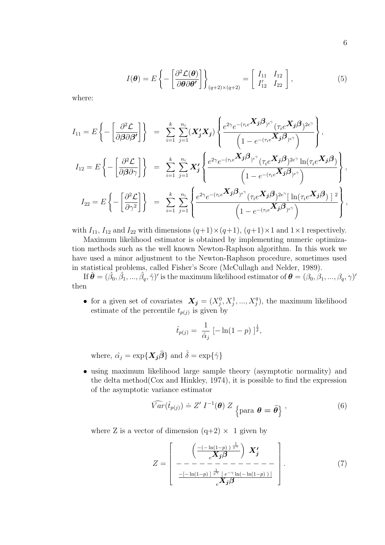$$
I(\boldsymbol{\theta}) = E\left\{-\left[\frac{\partial^2 \mathcal{L}(\boldsymbol{\theta})}{\partial \boldsymbol{\theta} \partial \boldsymbol{\theta'}}\right]\right\}_{(q+2)\times(q+2)} = \left[\begin{array}{cc} I_{11} & I_{12} \\ I'_{12} & I_{22} \end{array}\right],\tag{5}
$$

where:

$$
I_{11} = E\left\{-\left[\frac{\partial^2 \mathcal{L}}{\partial \beta \partial \beta'}\right]\right\} = \sum_{i=1}^k \sum_{j=1}^{n_i} (\mathbf{X}_j' \mathbf{X}_j) \left\{\frac{e^{2\gamma} e^{-(\tau_i e^{\mathbf{X}_j \beta}) e^{\gamma}} (\tau_i e^{\mathbf{X}_j \beta})^{2e^{\gamma}}}{\left(1 - e^{-(\tau_i e^{\mathbf{X}_j \beta}) e^{\gamma}}\right)}\right\},
$$
  
\n
$$
I_{12} = E\left\{-\left[\frac{\partial^2 \mathcal{L}}{\partial \beta \partial \gamma}\right]\right\} = \sum_{i=1}^k \sum_{j=1}^{n_i} \mathbf{X}_j' \left\{\frac{e^{2\gamma} e^{-(\tau_i e^{\mathbf{X}_j \beta}) e^{\gamma}} (\tau_i e^{\mathbf{X}_j \beta})^{2e^{\gamma}} \ln(\tau_i e^{\mathbf{X}_j \beta})}{\left(1 - e^{-(\tau_i e^{\mathbf{X}_j \beta}) e^{\gamma}}\right)}\right\},
$$
  
\n
$$
I_{22} = E\left\{-\left[\frac{\partial^2 \mathcal{L}}{\partial \gamma^2}\right]\right\} = \sum_{i=1}^k \sum_{j=1}^{n_i} \left\{\frac{e^{2\gamma} e^{-(\tau_i e^{\mathbf{X}_j \beta}) e^{\gamma}} (\tau_i e^{\mathbf{X}_j \beta})^{2e^{\gamma}} \left[\ln(\tau_i e^{\mathbf{X}_j \beta})\right]^2}{\left(1 - e^{-(\tau_i e^{\mathbf{X}_j \beta}) e^{\gamma}}\right)}\right\},
$$

with  $I_{11}$ ,  $I_{12}$  and  $I_{22}$  with dimensions  $(q+1)\times(q+1)$ ,  $(q+1)\times1$  and  $1\times1$  respectively.

Maximum likelihood estimator is obtained by implementing numeric optimization methods such as the well known Newton-Raphson algorithm. In this work we have used a minor adjustment to the Newton-Raphson procedure, sometimes used in statistical problems, called Fisher's Score (McCullagh and Nelder, 1989).

If  $\hat{\bm{\theta}}=(\hat{\beta_0}, \hat{\beta_1},...,\hat{\beta_q}, \hat{\gamma})'$  is the maximum likelihood estimator of  $\bm{\theta}=(\beta_0, \beta_1,...,\beta_q, \gamma)'$ then

• for a given set of covariates  $X_j = (X_j^0, X_j^1, ..., X_j^q)$  $j^{q}$ ), the maximum likelihood estimate of the percentile  $t_{p(j)}$  is given by

$$
\hat{t}_{p(j)} = \frac{1}{\hat{\alpha}_j} \left[ -\ln(1-p) \right]_s^{\frac{1}{\hat{\delta}}},
$$

where,  $\hat{\alpha_j} = \exp\{\mathbf{X_j}\hat{\boldsymbol{\beta}}\}$  and  $\hat{\delta} = \exp\{\hat{\gamma}\}\$ 

• using maximum likelihood large sample theory (asymptotic normality) and the delta method(Cox and Hinkley, 1974), it is possible to find the expression of the asymptotic variance estimator

$$
\widehat{Var}(\hat{t}_{p(j)}) \doteq Z' \ I^{-1}(\boldsymbol{\theta}) \ Z \ \text{para } \boldsymbol{\theta} = \widehat{\boldsymbol{\theta}} \}, \tag{6}
$$

where Z is a vector of dimension  $(q+2) \times 1$  given by

Z = −(− ln(1−p) ) 1 eγ <sup>e</sup>Xjβ X<sup>0</sup> j − − − − − − − − − − − − − −[− ln(1−p) ] 1 <sup>e</sup><sup>γ</sup> [ e −γ ln(− ln(1−p) ) ] <sup>e</sup>Xjβ . (7)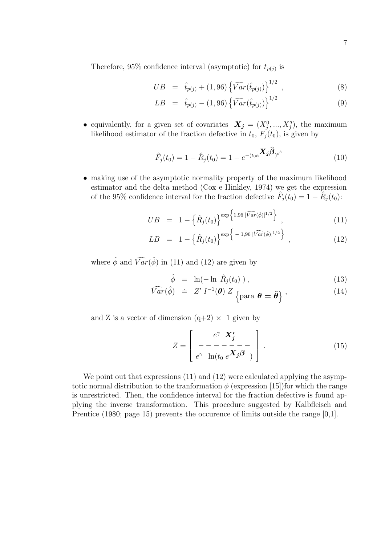Therefore, 95% confidence interval (asymptotic) for  $t_{p(j)}$  is

$$
UB = \hat{t}_{p(j)} + (1,96) \left\{ \widehat{Var}(\hat{t}_{p(j)}) \right\}^{1/2}, \qquad (8)
$$

$$
LB = \hat{t}_{p(j)} - (1,96) \left\{ \widehat{Var}(\hat{t}_{p(j)}) \right\}^{1/2} \tag{9}
$$

• equivalently, for a given set of covariates  $X_j = (X_j^0, ..., X_j^q)$  $j^{q}$ ), the maximum likelihood estimator of the fraction defective in  $t_0$ ,  $F'_j(t_0)$ , is given by

$$
\hat{F}_j(t_0) = 1 - \hat{R}_j(t_0) = 1 - e^{-(t_0 e^{\textbf{X}_j \boldsymbol{\beta}})^{e^{\hat{\gamma}}}}
$$
\n(10)

• making use of the asymptotic normality property of the maximum likelihood estimator and the delta method (Cox e Hinkley, 1974) we get the expression of the 95% confidence interval for the fraction defective  $\hat{F}_j(t_0) = 1 - \hat{R}_j(t_0)$ :

$$
UB = 1 - \left\{ \hat{R}_j(t_0) \right\}^{\exp \left\{ 1,96 \, [\widehat{Var}(\hat{\phi})]^{1/2} \right\}}, \tag{11}
$$

$$
LB = 1 - \left\{ \hat{R}_j(t_0) \right\}^{\exp \left\{ -1, 96 \, [\widehat{Var}(\hat{\phi})]^{1/2} \right\} , \qquad (12)
$$

where  $\hat{\phi}$  and  $\widehat{Var}(\hat{\phi})$  in (11) and (12) are given by

$$
\hat{\phi} = \ln(-\ln \hat{R}_j(t_0)), \qquad (13)
$$

$$
\widehat{Var}(\hat{\phi}) = Z' I^{-1}(\boldsymbol{\theta}) Z_{\text{para } \boldsymbol{\theta} = \widehat{\boldsymbol{\theta}}}, \qquad (14)
$$

and Z is a vector of dimension  $(q+2) \times 1$  given by

$$
Z = \begin{bmatrix} e^{\gamma} \mathbf{X}'_j \\ - - - - - - - - - \\ e^{\gamma} \ln(t_0 \, e^{\mathbf{X}_j \boldsymbol{\beta}}) \end{bmatrix} . \tag{15}
$$

We point out that expressions  $(11)$  and  $(12)$  were calculated applying the asymptotic normal distribution to the tranformation  $\phi$  (expression [15])for which the range is unrestricted. Then, the confidence interval for the fraction defective is found applying the inverse transformation. This procedure suggested by Kalbfleisch and Prentice (1980; page 15) prevents the occurence of limits outside the range [0,1].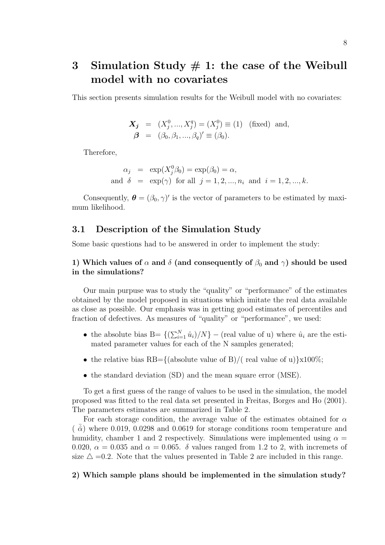## 3 Simulation Study  $# 1$ : the case of the Weibull model with no covariates

This section presents simulation results for the Weibull model with no covariates:

$$
\mathbf{X}_{j} = (X_{j}^{0}, ..., X_{j}^{q}) = (X_{j}^{0}) \equiv (1) \text{ (fixed) and,}
$$
  

$$
\boldsymbol{\beta} = (\beta_{0}, \beta_{1}, ..., \beta_{q})' \equiv (\beta_{0}).
$$

Therefore,

$$
\alpha_j = \exp(X_j^0 \beta_0) = \exp(\beta_0) = \alpha,
$$
  
and  $\delta = \exp(\gamma)$  for all  $j = 1, 2, ..., n_i$  and  $i = 1, 2, ..., k$ .

Consequently,  $\boldsymbol{\theta} = (\beta_0, \gamma)'$  is the vector of parameters to be estimated by maximum likelihood.

### 3.1 Description of the Simulation Study

Some basic questions had to be answered in order to implement the study:

### 1) Which values of  $\alpha$  and  $\delta$  (and consequently of  $\beta_0$  and  $\gamma$ ) should be used in the simulations?

Our main purpuse was to study the "quality" or "performance" of the estimates obtained by the model proposed in situations which imitate the real data available as close as possible. Our emphasis was in getting good estimates of percentiles and fraction of defectives. As measures of "quality" or "performance", we used:

- the absolute bias B=  $\{(\sum_{i=1}^{N} \hat{u}_i)/N\}$  (real value of u) where  $\hat{u}_i$  are the estimated parameter values for each of the N samples generated;
- the relative bias RB={(absolute value of B)/( real value of u) $\chi$ 100%;
- the standard deviation (SD) and the mean square error (MSE).

To get a first guess of the range of values to be used in the simulation, the model proposed was fitted to the real data set presented in Freitas, Borges and Ho (2001). The parameters estimates are summarized in Table 2.

For each storage condition, the average value of the estimates obtained for  $\alpha$  $\left( \bar{\hat{\alpha}} \right)$  where 0.019, 0.0298 and 0.0619 for storage conditions room temperature and humidity, chamber 1 and 2 respectively. Simulations were implemented using  $\alpha =$ 0.020,  $\alpha = 0.035$  and  $\alpha = 0.065$ .  $\delta$  values ranged from 1.2 to 2, with incremets of size  $\Delta$  =0.2. Note that the values presented in Table 2 are included in this range.

#### 2) Which sample plans should be implemented in the simulation study?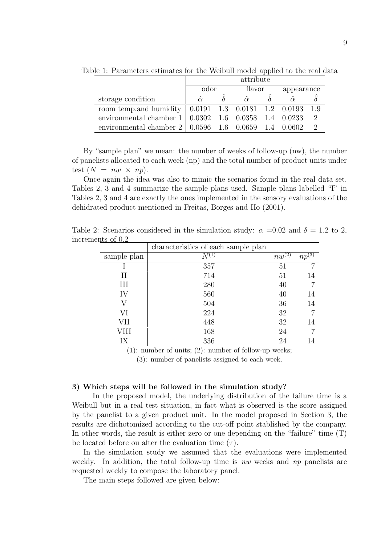|                                                                                     | attribute      |  |        |  |            |               |  |  |  |
|-------------------------------------------------------------------------------------|----------------|--|--------|--|------------|---------------|--|--|--|
|                                                                                     | odor           |  | flavor |  | appearance |               |  |  |  |
| storage condition                                                                   | $\hat{\alpha}$ |  |        |  |            |               |  |  |  |
| room temp. and humidity $\vert 0.0191 \, 1.3 \, 0.0181 \, 1.2 \, 0.0193 \,$         |                |  |        |  |            | - 1.9         |  |  |  |
| environmental chamber $1 \mid 0.0302 \quad 1.6 \quad 0.0358 \quad 1.4 \quad 0.0233$ |                |  |        |  |            | 2             |  |  |  |
| environmental chamber 2   0.0596 1.6 0.0659 1.4 0.0602                              |                |  |        |  |            | $\mathcal{D}$ |  |  |  |

Table 1: Parameters estimates for the Weibull model applied to the real data

By "sample plan" we mean: the number of weeks of follow-up (nw), the number of panelists allocated to each week (np) and the total number of product units under test  $(N = nw \times np)$ .

Once again the idea was also to mimic the scenarios found in the real data set. Tables 2, 3 and 4 summarize the sample plans used. Sample plans labelled "I" in Tables 2, 3 and 4 are exactly the ones implemented in the sensory evaluations of the dehidrated product mentioned in Freitas, Borges and Ho (2001).

|             | characteristics of each sample plan |            |                       |
|-------------|-------------------------------------|------------|-----------------------|
| sample plan |                                     | $nw^{(2)}$ | $np^{(\overline{3})}$ |
|             | 357                                 | 51         |                       |
| П           | 714                                 | 51         | 14                    |
| III         | 280                                 | 40         |                       |
| IV          | 560                                 | 40         | 14                    |
| V           | 504                                 | 36         | 14                    |
| VI          | 224                                 | 32         |                       |
| VII         | 448                                 | 32         | 14                    |
| VIII        | 168                                 | 24         |                       |
| IX          | 336                                 | 24         | 14                    |

Table 2: Scenarios considered in the simulation study:  $\alpha = 0.02$  and  $\delta = 1.2$  to 2, increments of 0.2

(1): number of units; (2): number of follow-up weeks;

(3): number of panelists assigned to each week.

#### 3) Which steps will be followed in the simulation study?

In the proposed model, the underlying distribution of the failure time is a Weibull but in a real test situation, in fact what is observed is the score assigned by the panelist to a given product unit. In the model proposed in Section 3, the results are dichotomized according to the cut-off point stablished by the company. In other words, the result is either zero or one depending on the "failure" time  $(T)$ be located before ou after the evaluation time  $(\tau)$ .

In the simulation study we assumed that the evaluations were implemented weekly. In addition, the total follow-up time is nw weeks and np panelists are requested weekly to compose the laboratory panel.

The main steps followed are given below: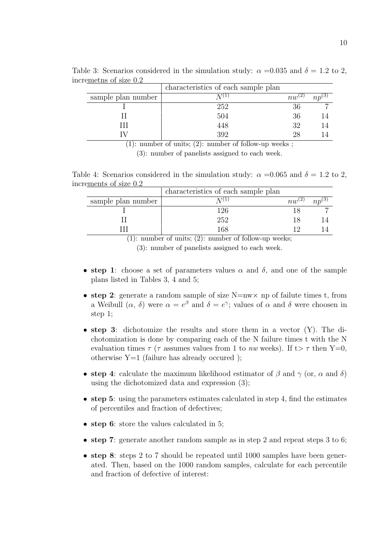|                    | characteristics of each sample plan |            |            |
|--------------------|-------------------------------------|------------|------------|
| sample plan number |                                     | $nw^{(2)}$ | $np^{(3)}$ |
|                    | 252                                 | 36         |            |
|                    | 504                                 | 36         |            |
|                    | 448                                 | 32         |            |
|                    | 392                                 | 28         |            |

Table 3: Scenarios considered in the simulation study:  $\alpha = 0.035$  and  $\delta = 1.2$  to 2, incremetns of size 0.2

(1): number of units; (2): number of follow-up weeks ;

(3): number of panelists assigned to each week.

Table 4: Scenarios considered in the simulation study:  $\alpha = 0.065$  and  $\delta = 1.2$  to 2, increments of size 0.2

|                         | characteristics of each sample plan        |             |     |
|-------------------------|--------------------------------------------|-------------|-----|
| sample plan number      |                                            | $n_{uv}(2)$ | n n |
|                         | 126                                        |             |     |
|                         | 252                                        |             |     |
|                         | 168                                        |             |     |
| $\sim$ $\sim$<br>$\sim$ | $\sim$ $\sim$ $\sim$<br>$\sim$ $\sim$<br>. |             |     |

(1): number of units; (2): number of follow-up weeks;

(3): number of panelists assigned to each week.

- step 1: choose a set of parameters values  $\alpha$  and  $\delta$ , and one of the sample plans listed in Tables 3, 4 and 5;
- step 2: generate a random sample of size  $N=nw \times np$  of failute times t, from a Weibull  $(\alpha, \delta)$  were  $\alpha = e^{\beta}$  and  $\delta = e^{\gamma}$ ; values of  $\alpha$  and  $\delta$  were choosen in step 1;
- step 3: dichotomize the results and store them in a vector  $(Y)$ . The dichotomization is done by comparing each of the N failure times t with the N evaluation times  $\tau$  ( $\tau$  assumes values from 1 to nw weeks). If t  $\tau$  then Y=0, otherwise  $Y=1$  (failure has already occured);
- step 4: calculate the maximum likelihood estimator of  $\beta$  and  $\gamma$  (or,  $\alpha$  and  $\delta$ ) using the dichotomized data and expression (3);
- step 5: using the parameters estimates calculated in step 4, find the estimates of percentiles and fraction of defectives;
- step 6: store the values calculated in 5;
- step 7: generate another random sample as in step 2 and repeat steps 3 to 6;
- step 8: steps 2 to 7 should be repeated until 1000 samples have been generated. Then, based on the 1000 random samples, calculate for each percentile and fraction of defective of interest: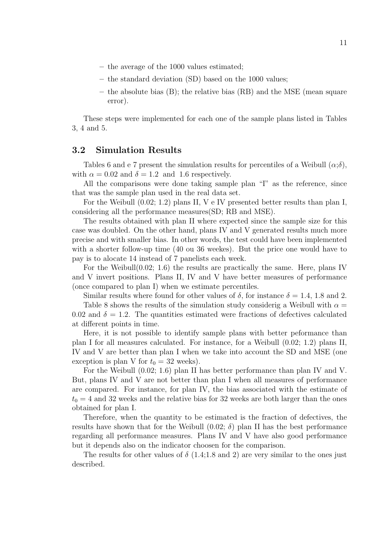- the average of the 1000 values estimated;
- the standard deviation (SD) based on the 1000 values;
- the absolute bias (B); the relative bias (RB) and the MSE (mean square error).

These steps were implemented for each one of the sample plans listed in Tables 3, 4 and 5.

### 3.2 Simulation Results

Tables 6 and e 7 present the simulation results for percentiles of a Weibull  $(\alpha;\delta)$ , with  $\alpha = 0.02$  and  $\delta = 1.2$  and 1.6 respectively.

All the comparisons were done taking sample plan "I" as the reference, since that was the sample plan used in the real data set.

For the Weibull (0.02; 1.2) plans II, V e IV presented better results than plan I, considering all the performance measures(SD; RB and MSE).

The results obtained with plan II where expected since the sample size for this case was doubled. On the other hand, plans IV and V generated results much more precise and with smaller bias. In other words, the test could have been implemented with a shorter follow-up time (40 ou 36 weekes). But the price one would have to pay is to alocate 14 instead of 7 panelists each week.

For the Weibull(0.02; 1.6) the results are practically the same. Here, plans IV and V invert positions. Plans II, IV and V have better measures of performance (once compared to plan I) when we estimate percentiles.

Similar results where found for other values of  $\delta$ , for instance  $\delta = 1.4, 1.8$  and 2.

Table 8 shows the results of the simulation study considerig a Weibull with  $\alpha =$ 0.02 and  $\delta = 1.2$ . The quantities estimated were fractions of defectives calculated at different points in time.

Here, it is not possible to identify sample plans with better peformance than plan I for all measures calculated. For instance, for a Weibull (0.02; 1.2) plans II, IV and V are better than plan I when we take into account the SD and MSE (one exception is plan V for  $t_0 = 32$  weeks).

For the Weibull (0.02; 1.6) plan II has better performance than plan IV and V. But, plans IV and V are not better than plan I when all measures of performance are compared. For instance, for plan IV, the bias associated with the estimate of  $t_0 = 4$  and 32 weeks and the relative bias for 32 weeks are both larger than the ones obtained for plan I.

Therefore, when the quantity to be estimated is the fraction of defectives, the results have shown that for the Weibull  $(0.02; \delta)$  plan II has the best performance regarding all performance measures. Plans IV and V have also good performance but it depends also on the indicator choosen for the comparison.

The results for other values of  $\delta$  (1.4;1.8 and 2) are very similar to the ones just described.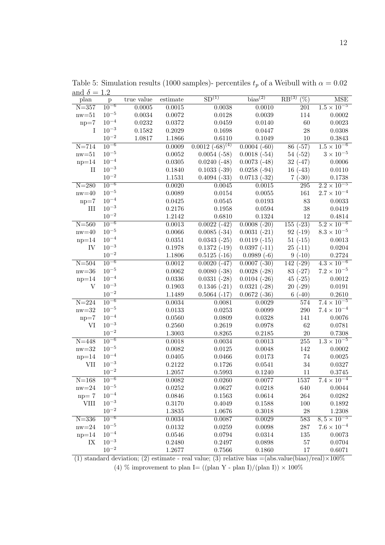| and $\delta = 1.2$<br>plan | p           | true value | estimate   | SD <sup>(1)</sup>              | bias <sup>(2)</sup> | RB <sup>(3)</sup><br>$(\%)$ | <b>MSE</b>           |
|----------------------------|-------------|------------|------------|--------------------------------|---------------------|-----------------------------|----------------------|
| $N = 357$                  | $10^{-6}$   | 0.0005     | 0.0015     | 0.0038                         | 0.0010              | 201                         | $1.5 \times 10^{-5}$ |
| $nw=51$                    | $10^{-5}$   | 0.0034     | 0.0072     | 0.0128                         | 0.0039              | 114                         | 0.0002               |
| $np=7$                     | $10^{-4}$   | 0.0232     | 0.0372     | 0.0459                         | 0.0140              | 60                          | 0.0023               |
| $\mathbf{I}$               | $10^{-3}$   | 0.1582     | 0.2029     | $\,0.1698\,$                   | 0.0447              | $\sqrt{28}$                 | 0.0308               |
|                            | $10^{-2}$   | 1.0817     | 1.1866     | 0.6110                         | 0.1049              | $10\,$                      | 0.3843               |
| $N = 714$                  | $10^{-6}$   |            | 0.0009     | $0.001\overline{2(-68)^{(4)}}$ | $0.0004(-60)$       | $86(-57)$                   | $1.5\times10^{-6}$   |
| $nw = 51$                  | $10^{-5}$   |            | 0.0052     | $0.0054(-58)$                  | $0.0018(-54)$       | $54(-52)$                   | $3 \times 10^{-5}$   |
| $np=14$                    | $10^{-4}$   |            | 0.0305     | $0.0240(-48)$                  | $0.0073(-48)$       | $32(-47)$                   | 0.0006               |
| $_{\rm II}$                | $10^{-3}$   |            | 0.1840     | $0.1033(-39)$                  | $0.0258(-94)$       | $16(-43)$                   | 0.0110               |
|                            | $10^{-2}$   |            | 1.1531     | $0.4094(-33)$                  | $0.0713(-32)$       | $7(-30)$                    | 0.1738               |
| $N = 280$                  | $10^{-6}$   |            | 0.0020     | 0.0045                         | 0.0015              | 295                         | $2.2 \times 10^{-5}$ |
| $\text{nw}{=}40$           | $10^{-5}$   |            | 0.0089     | 0.0154                         | 0.0055              | 161                         | $2.7 \times 10^{-4}$ |
| $np=7$                     | $10^{-4}$   |            | 0.0425     | 0.0545                         | 0.0193              | $83\,$                      | 0.0033               |
| III                        | $10^{-3}$   |            | 0.2176     | 0.1958                         | 0.0594              | $38\,$                      | 0.0419               |
|                            | $10^{-2}$   |            | 1.2142     | 0.6810                         | 0.1324              | 12                          | 0.4814               |
| $N = 560$                  | $10^{-6}$   |            | 0.0013     | $0.0022(-42)$                  | $0.0008(-20)$       | $155(-23)$                  | $5.2 \times 10^{-6}$ |
| $nw = 40$                  | $10^{-5}$   |            | 0.0066     | $0.0085(-34)$                  | $0.0031(-21)$       | $92(-19)$                   | $8.3 \times 10^{-5}$ |
| $np=14$                    | $10^{-4}$   |            | 0.0351     | $0.0343(-25)$                  | $0.0119(-15)$       | $51(-15)$                   | 0.0013               |
| IV                         | $10^{-3}$   |            | 0.1978     | $0.1372(-19)$                  | $0.0397(-11)$       | $25(-11)$                   | 0.0204               |
|                            | $10^{-2}$   |            | 1.1806     | $0.5125(-16)$                  | $0.0989(-6)$        | $9(-10)$                    | 0.2724               |
| $N = 504$                  | $10^{-6}$   |            | 0.0012     | $0.0020(-47)$                  | $0.0007(-30)$       | $142(-29)$                  | $4.3 \times 10^{-6}$ |
| $nw = 36$                  | $10^{-5}$   |            | 0.0062     | $0.0080(-38)$                  | $0.0028(-28)$       | $83(-27)$                   | $7.2 \times 10^{-5}$ |
| $np=14$                    | $10^{-4}$   |            | 0.0336     | $0.0331(-28)$                  | $0.0104(-26)$       | $45(-25)$                   | 0.0012               |
| V                          | $10^{-3}$   |            | 0.1903     | $0.1346(-21)$                  | $0.0321(-28)$       | $20(-29)$                   | 0.0191               |
|                            | $10^{-2}$   |            | 1.1489     | $0.5064(-17)$                  | $0.0672(-36)$       | $6(-40)$                    | 0.2610               |
| $N = 224$                  | $10^{-6}$   |            | 0.0034     | 0.0081                         | 0.0029              | 574                         | $7.4 \times 10^{-5}$ |
| $\text{nw}{=}32$           | $10^{-5}$   |            | 0.0133     | 0.0253                         | 0.0099              | 290                         | $7.4 \times 10^{-4}$ |
| $np=7$                     | $10^{-4}$   |            | 0.0560     | 0.0809                         | 0.0328              | 141                         | 0.0076               |
| VI                         | $10^{-3}$   |            | 0.2560     | 0.2619                         | 0.0978              | 62                          | 0.0781               |
|                            | $10^{-2}$   |            | $1.3003\,$ | 0.8265                         | 0.2185              | $20\,$                      | 0.7308               |
| $N = 448$                  | $10^{-6}$   |            | 0.0018     | 0.0034                         | 0.0013              | $255\,$                     | $1.3 \times 10^{-5}$ |
| $\text{nw}{=}32$           | $10^{-5}$   |            | 0.0082     | 0.0125                         | 0.0048              | 142                         | 0.0002               |
| $np=14$                    | $10^{-4}$   |            | 0.0405     | 0.0466                         | 0.0173              | 74                          | 0.0025               |
| VII                        | $10^{-3}$   |            | 0.2122     | 0.1726                         | 0.0541              | $34\,$                      | 0.0327               |
|                            | $10^{-2}$   |            | 1.2057     | 0.5993                         | 0.1240              | 11                          | 0.3745               |
| $N = 168$                  | $10^{-6}$   |            | 0.0082     | 0.0260                         | 0.0077              | 1537                        | $7.4 \times 10^{-4}$ |
| $nw = 24$                  | $10^{-5}$   |            | 0.0252     | 0.0627                         | 0.0218              | 640                         | 0.0044               |
| $np = 7$                   | $10^{-4}$   |            | 0.0846     | 0.1563                         | 0.0614              | 264                         | 0.0282               |
| <b>VIII</b>                | $10^{-3}$   |            | 0.3170     | 0.4049                         | 0.1588              | 100                         | 0.1892               |
|                            | $10^{-2}\,$ |            | 1.3835     | 1.0676                         | 0.3018              | $28\,$                      | 1.2308               |
| $N = 336$                  | $10^{-6}$   |            | 0.0034     | 0.0087                         | 0.0029              | 583                         | $8,5 \times 10^{-5}$ |
| $nw = 24$                  | $10^{-5}$   |            | 0.0132     | 0.0259                         | 0.0098              | 287                         | $7.6 \times 10^{-4}$ |
| $np=14$                    | $10^{-4}$   |            | 0.0546     | 0.0794                         | 0.0314              | 135                         | 0.0073               |
| IX                         | $10^{-3}$   |            | 0.2480     | 0.2497                         | 0.0898              | 57                          | 0.0704               |
|                            | $10^{-2}$   |            | 1.2677     | 0.7566                         | 0.1860              | 17                          | 0.6071               |

Table 5: Simulation results (1000 samples)- percentiles  $t_p$  of a Weibull with  $\alpha = 0.02$ and  $\delta = 1.2$ 

(1) standard deviation; (2) estimate - real value; (3) relative bias =(abs.value(bias)/real) $\times$ 100% (4) % improvement to plan I= ((plan Y - plan I)/(plan I))  $\times$  100%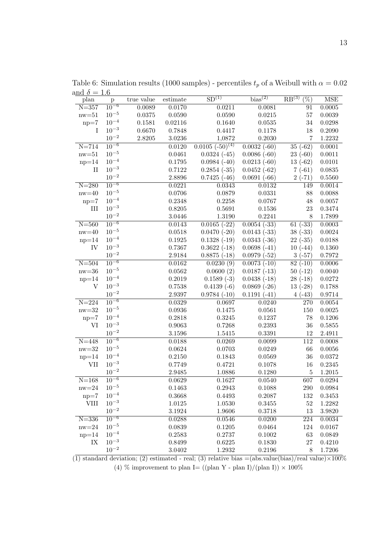| սուս<br>plan     | p                  | true value | $\quad \  \  \, \textbf{estimate}$ | SD <sup>(1)</sup>                 | bias <sup>(2)</sup> | RB <sup>(3)</sup><br>$(\%)$ | <b>MSE</b> |
|------------------|--------------------|------------|------------------------------------|-----------------------------------|---------------------|-----------------------------|------------|
| $N = 357$        | $10^{-6}$          | 0.0089     | 0.0170                             | 0.0211                            | 0.0081              | 91                          | 0.0005     |
| $nw = 51$        | $10^{-5}$          | 0.0375     | 0.0590                             | 0.0590                            | 0.0215              | $57\,$                      | 0.0039     |
| $np=7$           | $10^{-4}$          | 0.1581     | 0.02116                            | 0.1640                            | 0.0535              | 34                          | 0.0298     |
| I                | $10^{-3}$          | 0.6670     | 0.7848                             | 0.4417                            | 0.1178              | 18                          | 0.2090     |
|                  | $10^{-2}\,$        | 2.8205     | 3.0236                             | 1,0872                            | 0.2030              | $\overline{7}$              | 1.2232     |
| $N = 714$        | $10^{-6}$          |            | 0.0120                             | $0.0105$ $(-5\overline{0})^{(4)}$ | $0.0032(-60)$       | $35(-62)$                   | 0.0001     |
| $\text{nw=}51$   | $10^{-5}$          |            | 0.0461                             | $0.0324(-45)$                     | $0.0086(-60)$       | $23(-60)$                   | 0.0011     |
| $np=14$          | $10^{-4}$          |            | 0.1795                             | $0.0984(-40)$                     | $0.0213(-60)$       | $13(-62)$                   | 0.0101     |
| $\rm II$         | $10^{-3}$          |            | $0.7122\,$                         | $0.2854(-35)$                     | $0.0452(-62)$       | $7(-61)$                    | 0.0835     |
|                  | $10^{-2}$          |            | 2.8896                             | $0.7425(-46)$                     | $0.0691(-66)$       | $2(-71)$                    | 0.5560     |
| $N = 280$        | $10^{-6}$          |            | 0.0221                             | 0.0343                            | 0.0132              | 149                         | 0.0014     |
| $nw = 40$        | $10^{-5}$          |            | 0.0706                             | 0.0879                            | 0.0331              | 88                          | 0.0088     |
| $np=7$           | $10^{-4}$          |            | 0.2348                             | 0.2258                            | 0.0767              | 48                          | 0.0057     |
| $\rm III$        | $10^{-3}$          |            | 0.8205                             | 0.5691                            | 0.1536              | 23                          | 0.3474     |
|                  | $10^{-2}$          |            | 3.0446                             | $1.3190\,$                        | 0.2241              | 8                           | 1.7899     |
| $N = 560$        | $10^{-6}$          |            | 0.0143                             | $0.0165(-22)$                     | $0.0054(-33)$       | $61(-33)$                   | 0.0003     |
| $nw = 40$        | $10^{-5}$          |            | 0.0518                             | $0.0470(-20)$                     | $0.0143(-33)$       | $38(-33)$                   | 0.0024     |
| $np=14$          | $10^{-4}$          |            | 0.1925                             | $0.1328(-19)$                     | $0.0343(-36)$       | $22(-35)$                   | 0.0188     |
| IV               | $10^{-3}$          |            | 0.7367                             | $0.3622(-18)$                     | $0.0698(-41)$       | $10(-44)$                   | 0.1360     |
|                  | $10^{-2}$          |            | 2.9184                             | $0.8875(-18)$                     | $0.0979(-52)$       | $3(-57)$                    | 0.7972     |
| $N = 504$        | $10^{-6}$          |            | 0.0162                             | 0.0230(9)                         | $0.0073(-10)$       | $\overline{82}$ (-10)       | 0.0006     |
| $nw = 36$        | $10^{-5}$          |            | 0.0562                             | 0.0600(2)                         | $0.0187(-13)$       | $50(-12)$                   | 0.0040     |
| $np=14$          | $10^{-4}$          |            | 0.2019                             | $0.1589(-3)$                      | $0.0438(-18)$       | $28(-18)$                   | 0.0272     |
| V                | $10^{-3}$          |            | 0.7538                             | $0.4139(-6)$                      | $0.0869(-26)$       | $13(-28)$                   | 0.1788     |
|                  | $10^{-2}$          |            | 2.9397                             | $0.9784(-10)$                     | $0.1191(-41)$       | $4( -43)$                   | 0.9714     |
| $N = 224$        | $10^{-6}$          |            | 0.0329                             | 0.0697                            | 0.0240              | 270                         | 0.0054     |
| $\text{nw}{=}32$ | $10^{-5}$          |            | 0.0936                             | 0.1475                            | 0.0561              | 150                         | 0.0025     |
| $np=7$           | $10^{-4}$          |            | 0.2818                             | 0.3245                            | 0.1237              | 78                          | 0.1206     |
| VI               | $10^{-3}$          |            | 0.9063                             | 0.7268                            | 0.2393              | $36\,$                      | 0.5855     |
|                  | $10^{-2}$          |            | 3.1596                             | 1.5415                            | 0.3391              | 12                          | 2.4911     |
| $N = 448$        | $10^{-6}$          |            | 0.0188                             | 0.0269                            | 0.0099              | 112                         | 0.0008     |
| $nw = 32$        | $10^{-5}$          |            | 0.0624                             | 0.0703                            | 0.0249              | 66                          | 0.0056     |
| $np=14$          | $10^{-4}$          |            | $0.2150\,$                         | 0.1843                            | 0.0569              | 36                          | 0.0372     |
| <b>VII</b>       | $10^{-3}$          |            | 0.7749                             | 0.4721                            | 0.1078              | 16                          | 0.2345     |
|                  | $10^{-2}$          |            | 2.9485                             | 1.0886                            | 0.1280              | $\overline{5}$              | 1.2015     |
| $N = 168$        | $10^{-6}$          |            | 0.0629                             | 0.1627                            | 0.0540              | 607                         | 0.0294     |
| $nw = 24$        | $10^{\rm -5}$      |            | 0.1463                             | 0.2943                            | 0.1088              | 290                         | 0.0984     |
| $np=7$           | $10^{-4}$          |            | 0.3668                             | 0.4493                            | 0.2087              | 132                         | 0.3453     |
| $\rm VIII$       | $10^{-3}$          |            | 1.0125                             | 1.0530                            | 0.3455              | $52\,$                      | 1.2282     |
|                  | $10^{\mathrm{-2}}$ |            | 3.1924                             | 1.9606                            | 0.3718              | 13                          | 3.9820     |
| $N = 336$        | $10^{-6}$          |            | 0.0288                             | 0.0546                            | 0.0200              | 224                         | 0.0034     |
| $nw = 24$        | $10^{-5}$          |            | 0.0839                             | 0.1205                            | 0.0464              | 124                         | 0.0167     |
| $np=14$          | $10^{-4}$          |            | 0.2583                             | 0.2737                            | 0.1002              | 63                          | 0.0849     |
| $\it IX$         | $10^{-3}$          |            | 0.8499                             | 0.6225                            | 0.1830              | $27\,$                      | 0.4210     |
|                  | $10^{-2}\,$        |            | 3.0402                             | 1.2932                            | 0.2196              | $8\,$                       | 1.7206     |

Table 6: Simulation results (1000 samples) - percentiles  $t_p$  of a Weibull with  $\alpha = 0.02$ and  $\delta = 1.6$ 

 $\overline{(1)}$  standard deviation; (2) estimated - real; (3) relative bias =(abs.value(bias)/real value)×100% (4) % improvement to plan I= ((plan Y - plan I)/(plan I))  $\times$  100%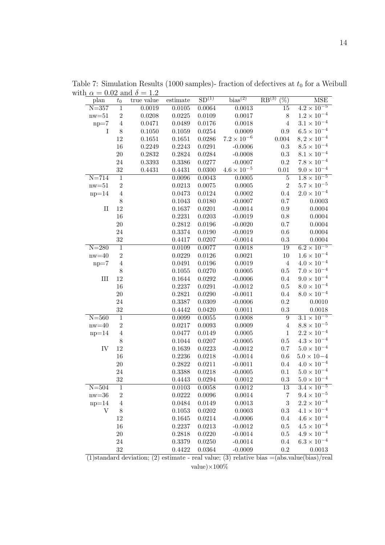| plan       | auu<br>$t_0$   | true value | estimate     | SD <sup>(1)</sup> | bias <sup>(2)</sup>  | RB <sup>(3)</sup><br>$\overline{(\%)}$ | <b>MSE</b>            |
|------------|----------------|------------|--------------|-------------------|----------------------|----------------------------------------|-----------------------|
| $N = 357$  | $\,1\,$        | 0.0019     | 0.0105       | 0.0064            | 0.0013               | 15                                     | $4.2 \times 10^{-5}$  |
| $nw = 51$  | $\,2$          | 0.0208     | 0.0225       | 0.0109            | 0.0017               | $8\,$                                  | $1.2 \times 10^{-4}$  |
| $np=7$     | $\,4\,$        | 0.0471     | 0.0489       | 0.0176            | 0.0018               | $\overline{4}$                         | $3.1 \times 10^{-4}$  |
| $\rm I$    | 8              | 0.1050     | 0.1059       | 0.0254            | 0.0009               | 0.9                                    | $6.5 \times 10^{-4}$  |
|            | 12             | 0.1651     | 0.1651       | 0.0286            | $7.2 \times 10^{-6}$ | 0.004                                  | $8, 2 \times 10^{-4}$ |
|            | $16\,$         | 0.2249     | 0.2243       | 0.0291            | $-0.0006$            | $\rm 0.3$                              | $8.5 \times 10^{-4}$  |
|            | $20\,$         | 0.2832     | 0.2824       | 0.0284            | $-0.0008$            | 0.3                                    | $8.1 \times 10^{-4}$  |
|            | 24             | 0.3393     | 0.3386       | 0.0277            | $-0.0007$            | $\rm 0.2$                              | $7.8 \times 10^{-4}$  |
|            | $32\,$         | 0.4431     | 0.4431       | 0.0300            | $4.6 \times 10^{-5}$ | $0.01\,$                               | $9.0 \times 10^{-4}$  |
| $N = 714$  | $\mathbf{1}$   |            | 0.0096       | 0.0043            | 0.0005               | $\overline{5}$                         | $1.8 \times 10^{-5}$  |
| $nw = 51$  | $\overline{2}$ |            | 0.0213       | 0.0075            | 0.0005               | $\overline{2}$                         | $5.7 \times 10^{-5}$  |
| $np=14$    | $\,4\,$        |            | 0.0473       | 0.0124            | 0.0002               | $0.4\,$                                | $2.0 \times 10^{-4}$  |
|            | 8              |            | 0.1043       | 0.0180            | $-0.0007$            | 0.7                                    | 0.0003                |
| $\rm II$   | 12             |            | 0.1637       | 0.0201            | $-0.0014$            | $0.9\,$                                | 0.0004                |
|            | 16             |            | 0.2231       | 0.0203            | $-0.0019$            | 0.8                                    | 0.0004                |
|            | $20\,$         |            | 0.2812       | 0.0196            | $-0.0020$            | 0.7                                    | 0.0004                |
|            | 24             |            | 0.3374       | 0.0190            | $-0.0019$            | 0.6                                    | 0.0004                |
|            | $32\,$         |            | 0.4417       | 0.0207            | $-0.0014$            | 0.3                                    | 0.0004                |
| $N = 280$  | $\overline{1}$ |            | 0.0109       | 0.0077            | 0.0018               | 19                                     | $6.2 \times 10^{-5}$  |
| $nw = 40$  | $\overline{2}$ |            | 0.0229       | 0.0126            | 0.0021               | $10\,$                                 | $1.6 \times 10^{-4}$  |
| $np=7$     | $\,4\,$        |            | 0.0491       | 0.0196            | 0.0019               | $\overline{4}$                         | $4.0 \times 10^{-4}$  |
|            | 8              |            | 0.1055       | 0.0270            | 0.0005               | 0.5                                    | $7.0 \times 10^{-4}$  |
| $\rm III$  | 12             |            | 0.1644       | 0.0292            | $-0.0006$            | 0.4                                    | $9.0 \times 10^{-4}$  |
|            | 16             |            | 0.2237       | 0.0291            | $-0.0012$            | $0.5\,$                                | $8.0 \times 10^{-4}$  |
|            | $20\,$         |            | 0.2821       | 0.0290            | $-0.0011$            | 0.4                                    | $8.0 \times 10^{-4}$  |
|            | 24             |            | 0.3387       | 0.0309            | $-0.0006$            | $\rm 0.2$                              | 0.0010                |
|            | $32\,$         |            | 0.4442       | 0.0420            | 0.0011               | $\rm 0.3$                              | 0.0018                |
| $N = 560$  | $\overline{1}$ |            | 0.0099       | 0.0055            | 0.0008               | $\overline{9}$                         | $3.1 \times 10^{-5}$  |
| $nw = 40$  | $\overline{2}$ |            | 0.0217       | 0.0093            | 0.0009               | $\overline{4}$                         | $8.8\times10^{-5}$    |
| $np=14$    | $\,4\,$        |            | 0.0477       | 0.0149            | 0.0005               | $\mathbf{1}$                           | $2.2 \times 10^{-4}$  |
|            | 8              |            | 0.1044       | 0.0207            | $-0.0005$            | 0.5                                    | $4.3 \times 10^{-4}$  |
| ${\rm IV}$ | 12             |            | 0.1639       | 0.0223            | $-0.0012$            | 0.7                                    | $5.0 \times 10^{-4}$  |
|            | $16\,$         |            | 0.2236       | 0.0218            | $-0.0014$            | 0.6                                    | $5.0\times10{-4}$     |
|            | $20\,$         |            | 0.2822       | 0.0211            | $-0.0011$            | 0.4                                    | $4.0 \times 10^{-4}$  |
|            | 24             |            | $0.3388\,$   | 0.0218            | $-0.0005$            | 0.1                                    | $5.0 \times 10^{-4}$  |
|            | 32             |            | 0.4443       | 0.0294            | 0.0012               | $\rm 0.3$                              | $5.0 \times 10^{-4}$  |
| $N = 504$  | $\mathbf{1}$   |            | 0.0103       | 0.0058            | 0.0012               | 13                                     | $3.4 \times 10^{-5}$  |
| $nw = 36$  | $\overline{2}$ |            | 0.0222       | 0.0096            | 0.0014               | $\overline{7}$                         | $9.4 \times 10^{-5}$  |
| $np=14$    | $\overline{4}$ |            | 0.0484       | 0.0149            | 0.0013               | $\sqrt{3}$                             | $2.2 \times 10^{-4}$  |
| V          | 8              |            | 0.1053       | 0.0202            | 0.0003               | 0.3                                    | $4.1 \times 10^{-4}$  |
|            | 12             |            | 0.1645       | 0.0214            | $-0.0006$            | 0.4                                    | $4.6 \times 10^{-4}$  |
|            | $16\,$         |            | 0.2237       | 0.0213            | $-0.0012$            | $0.5\,$                                | $4.5 \times 10^{-4}$  |
|            | $20\,$         |            | 0.2818       | 0.0220            | $-0.0014$            | 0.5                                    | $4.9 \times 10^{-4}$  |
|            | 24             |            | 0.3379       | 0.0250            | $-0.0014$            | 0.4                                    | $6.3 \times 10^{-4}$  |
|            | $32\,$         |            | $\,0.4422\,$ | 0.0364            | $-0.0009$            | $\rm 0.2$                              | 0.0013                |

Table 7: Simulation Results (1000 samples)- fraction of defectives at  $t_0$  for a Weibull with  $\alpha = 0.02$  and  $\delta = 1.2$ 

(1)standard deviation; (2) estimate - real value; (3) relative bias  $=(abs.value(bias)/real)$ value) $\times100\%$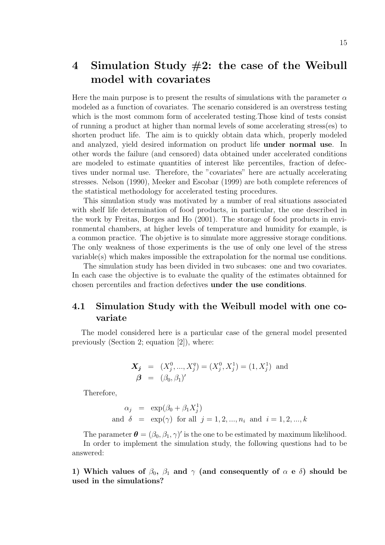## 4 Simulation Study  $#2$ : the case of the Weibull model with covariates

Here the main purpose is to present the results of simulations with the parameter  $\alpha$ modeled as a function of covariates. The scenario considered is an overstress testing which is the most commom form of accelerated testing.Those kind of tests consist of running a product at higher than normal levels of some accelerating stress(es) to shorten product life. The aim is to quickly obtain data which, properly modeled and analyzed, yield desired information on product life under normal use. In other words the failure (and censored) data obtained under accelerated conditions are modeled to estimate quantities of interest like percentiles, fraction of defectives under normal use. Therefore, the "covariates" here are actually accelerating stresses. Nelson (1990), Meeker and Escobar (1999) are both complete references of the statistical methodology for accelerated testing procedures.

This simulation study was motivated by a number of real situations associated with shelf life determination of food products, in particular, the one described in the work by Freitas, Borges and Ho (2001). The storage of food products in environmental chambers, at higher levels of temperature and humidity for example, is a common practice. The objetive is to simulate more aggressive storage conditions. The only weakness of those experiments is the use of only one level of the stress variable(s) which makes impossible the extrapolation for the normal use conditions.

The simulation study has been divided in two subcases: one and two covariates. In each case the objective is to evaluate the quality of the estimates obtainned for chosen percentiles and fraction defectives under the use conditions.

### 4.1 Simulation Study with the Weibull model with one covariate

The model considered here is a particular case of the general model presented previously (Section 2; equation [2]), where:

$$
\mathbf{X_j} = (X_j^0, ..., X_j^q) = (X_j^0, X_j^1) = (1, X_j^1) \text{ and } \mathbf{\beta} = (\beta_0, \beta_1)'
$$

Therefore,

$$
\alpha_j = \exp(\beta_0 + \beta_1 X_j^1)
$$
  
and  $\delta = \exp(\gamma)$  for all  $j = 1, 2, ..., n_i$  and  $i = 1, 2, ..., k$ 

The parameter  $\boldsymbol{\theta} = (\beta_0, \beta_1, \gamma)'$  is the one to be estimated by maximum likelihood.

In order to implement the simulation study, the following questions had to be answered:

1) Which values of  $\beta_0$ ,  $\beta_1$  and  $\gamma$  (and consequently of  $\alpha \in \delta$ ) should be used in the simulations?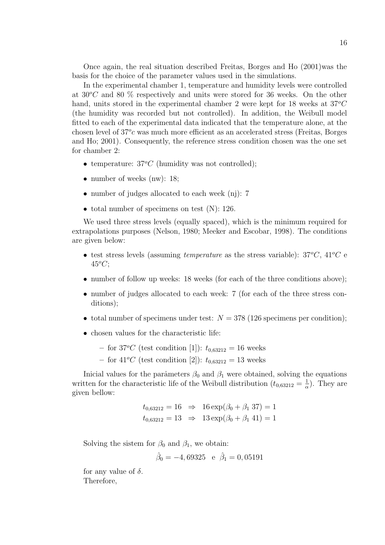Once again, the real situation described Freitas, Borges and Ho (2001)was the basis for the choice of the parameter values used in the simulations.

In the experimental chamber 1, temperature and humidity levels were controlled at  $30^{\circ}$ C and 80 % respectively and units were stored for 36 weeks. On the other hand, units stored in the experimental chamber 2 were kept for 18 weeks at  $37^{\circ}C$ (the humidity was recorded but not controlled). In addition, the Weibull model fitted to each of the experimental data indicated that the temperature alone, at the chosen level of  $37^o$ c was much more efficient as an accelerated stress (Freitas, Borges and Ho; 2001). Consequently, the reference stress condition chosen was the one set for chamber 2:

- temperature:  $37^{\circ}C$  (humidity was not controlled);
- number of weeks (nw): 18;
- number of judges allocated to each week (nj): 7
- total number of specimens on test (N): 126.

We used three stress levels (equally spaced), which is the minimum required for extrapolations purposes (Nelson, 1980; Meeker and Escobar, 1998). The conditions are given below:

- test stress levels (assuming *temperature* as the stress variable):  $37^{\circ}C$ ,  $41^{\circ}C$  e  $45^{\circ}C$ ;
- number of follow up weeks: 18 weeks (for each of the three conditions above);
- number of judges allocated to each week: 7 (for each of the three stress conditions);
- total number of specimens under test:  $N = 378$  (126 specimens per condition);
- chosen values for the characteristic life:
	- for 37<sup>o</sup>C (test condition [1]):  $t_{0.63212} = 16$  weeks
	- for  $41^{\circ}C$  (test condition [2]):  $t_{0.63212} = 13$  weeks

Inicial values for the parâmeters  $\beta_0$  and  $\beta_1$  were obtained, solving the equations written for the characteristic life of the Weibull distribution  $(t_{0,63212} = \frac{1}{\alpha}$  $\frac{1}{\alpha}$ ). They are given bellow:

$$
t_{0,63212} = 16 \Rightarrow 16 \exp(\beta_0 + \beta_1 37) = 1
$$
  
\n $t_{0,63212} = 13 \Rightarrow 13 \exp(\beta_0 + \beta_1 41) = 1$ 

Solving the sistem for  $\beta_0$  and  $\beta_1$ , we obtain:

$$
\hat{\beta}_0 = -4,69325 \text{ e } \hat{\beta}_1 = 0,05191
$$

for any value of  $\delta$ . Therefore,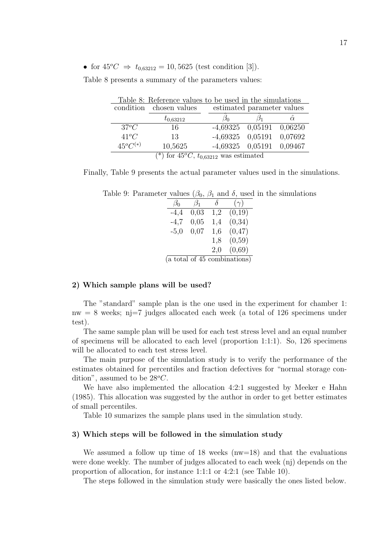• for  $45^{\circ}C \Rightarrow t_{0.63212} = 10,5625$  (test condition [3]).

| Table 8: Reference values to be used in the simulations |                         |                            |  |                |  |  |  |  |  |
|---------------------------------------------------------|-------------------------|----------------------------|--|----------------|--|--|--|--|--|
|                                                         | condition chosen values | estimated parameter values |  |                |  |  |  |  |  |
|                                                         | $t_{0,63212}$           |                            |  | $\hat{\alpha}$ |  |  |  |  |  |
| $37^oC$                                                 | 16                      | $-4,69325$ 0.05191 0.06250 |  |                |  |  |  |  |  |
| $41^{\circ}C$                                           | 13                      | $-4,69325$ 0,05191         |  | 0,07692        |  |  |  |  |  |
| $45^oC^{(*)}$                                           | 10,5625                 | $-4,69325$ 0,05191         |  | 0,09467        |  |  |  |  |  |
| $(*)$ for $45^{\circ}C, t_{0.63212}$ was estimated      |                         |                            |  |                |  |  |  |  |  |

Table 8 presents a summary of the parameters values:

Finally, Table 9 presents the actual parameter values used in the simulations.

Table 9: Parameter values ( $\beta_0$ ,  $\beta_1$  and  $\delta$ , used in the simulations

| $\beta_0$ | $\beta_1$ | $\lambda$ | $(\gamma)$                   |  |  |  |
|-----------|-----------|-----------|------------------------------|--|--|--|
| $-4,4$    | 0,03      | 1,2       | (0,19)                       |  |  |  |
| $-4,7$    | 0,05      | 1,4       | (0,34)                       |  |  |  |
| $-5,0$    | 0,07      | 1,6       | (0, 47)                      |  |  |  |
|           |           | 1,8       | (0,59)                       |  |  |  |
|           |           | 2,0       | (0,69)                       |  |  |  |
|           |           |           | (a total of 45 combinations) |  |  |  |

#### 2) Which sample plans will be used?

The "standard" sample plan is the one used in the experiment for chamber 1:  $nw = 8$  weeks; nj=7 judges allocated each week (a total of 126 specimens under test).

The same sample plan will be used for each test stress level and an equal number of specimens will be allocated to each level (proportion 1:1:1). So, 126 specimens will be allocated to each test stress level.

The main purpose of the simulation study is to verify the performance of the estimates obtained for percentiles and fraction defectives for "normal storage condition", assumed to be  $28^{\circ}C$ .

We have also implemented the allocation 4:2:1 suggested by Meeker e Hahn (1985). This allocation was suggested by the author in order to get better estimates of small percentiles.

Table 10 sumarizes the sample plans used in the simulation study.

#### 3) Which steps will be followed in the simulation study

We assumed a follow up time of 18 weeks  $(nw=18)$  and that the evaluations were done weekly. The number of judges allocated to each week (nj) depends on the proportion of allocation, for instance 1:1:1 or 4:2:1 (see Table 10).

The steps followed in the simulation study were basically the ones listed below.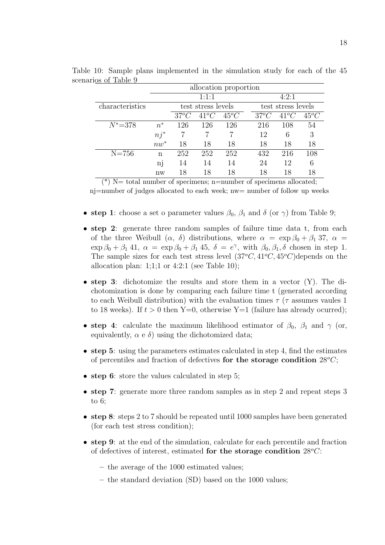|                 | allocation proportion |                    |               |         |         |                    |         |  |  |  |
|-----------------|-----------------------|--------------------|---------------|---------|---------|--------------------|---------|--|--|--|
|                 |                       |                    | 1:1:1         |         |         | 4:2:1              |         |  |  |  |
| characteristics |                       | test stress levels |               |         |         | test stress levels |         |  |  |  |
|                 |                       | $37^oC$            | $41^{\circ}C$ | $45^oC$ | $37^oC$ | $41^oC$            | $45^oC$ |  |  |  |
| $N^* = 378$     | $n^*$                 | 126                | 126           | 126     | 216     | 108                | 54      |  |  |  |
|                 | $nj^*$                |                    |               |         | 12      | 6                  | 3       |  |  |  |
|                 | $nw^*$                | 18                 | 18            | 18      | 18      | 18                 | 18      |  |  |  |
| $N = 756$       | n                     | 252                | 252           | 252     | 432     | 216                | 108     |  |  |  |
|                 | n <sub>]</sub>        | 14                 | 14            | 14      | 24      | 12                 | 6       |  |  |  |
|                 | nw                    | 18                 | 18            | 18      | 18      | 18                 | 18      |  |  |  |

Table 10: Sample plans implemented in the simulation study for each of the 45 scenarios of Table 9

 $(*)$  N= total number of specimens; n=number of specimens allocated;

nj=number of judges allocated to each week; nw= number of follow up weeks

- step 1: choose a set o parameter values  $\beta_0$ ,  $\beta_1$  and  $\delta$  (or  $\gamma$ ) from Table 9;
- step 2: generate three random samples of failure time data t, from each of the three Weibull  $(\alpha, \delta)$  distributions, where  $\alpha = \exp \beta_0 + \beta_1 37$ ,  $\alpha =$  $\exp \beta_0 + \beta_1 41$ ,  $\alpha = \exp \beta_0 + \beta_1 45$ ,  $\delta = e^{\gamma}$ , with  $\beta_0, \beta_1, \delta$  chosen in step 1. The sample sizes for each test stress level  $(37^{\circ}C, 41^{\circ}C, 45^{\circ}C)$ depends on the allocation plan:  $1;1;1$  or  $4:2:1$  (see Table 10);
- step 3: dichotomize the results and store them in a vector (Y). The dichotomization is done by comparing each failure time t (generated according to each Weibull distribution) with the evaluation times  $\tau$  ( $\tau$  assumes vaules 1 to 18 weeks). If  $t > 0$  then Y=0, otherwise Y=1 (failure has already ocurred);
- step 4: calculate the maximum likelihood estimator of  $\beta_0$ ,  $\beta_1$  and  $\gamma$  (or, equivalently,  $\alpha \in \delta$ ) using the dichotomized data;
- step 5: using the parameters estimates calculated in step 4, find the estimates of percentiles and fraction of defectives for the storage condition  $28^{\circ}C$ ;
- step 6: store the values calculated in step 5;
- step 7: generate more three random samples as in step 2 and repeat steps 3 to 6;
- step 8: steps 2 to 7 should be repeated until 1000 samples have been generated (for each test stress condition);
- step 9: at the end of the simulation, calculate for each percentile and fraction of defectives of interest, estimated for the storage condition  $28^{\circ}C$ :
	- the average of the 1000 estimated values;
	- the standard deviation (SD) based on the 1000 values;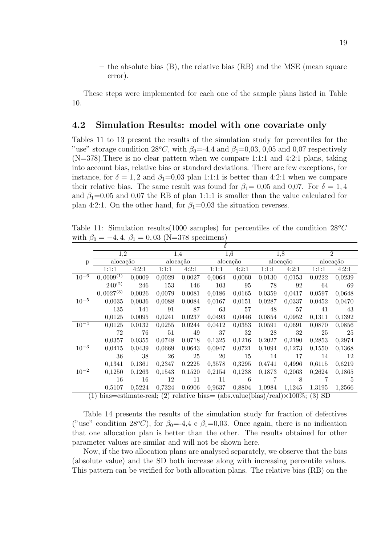– the absolute bias (B), the relative bias (RB) and the MSE (mean square error).

These steps were implemented for each one of the sample plans listed in Table 10.

### 4.2 Simulation Results: model with one covariate only

Tables 11 to 13 present the results of the simulation study for percentiles for the "use" storage condition  $28^{\circ}C$ , with  $\beta_0 = -4.4$  and  $\beta_1 = 0.03, 0.05$  and 0.07 respectively (N=378).There is no clear pattern when we compare 1:1:1 and 4:2:1 plans, taking into account bias, relative bias or standard deviations. There are few exceptions, for instance, for  $\delta = 1, 2$  and  $\beta_1 = 0.03$  plan 1:1:1 is better than 4:2:1 when we compare their relative bias. The same result was found for  $\beta_1=0.05$  and 0.07. For  $\delta=1,4$ and  $\beta_1=0.05$  and 0.07 the RB of plan 1:1:1 is smaller than the value calculated for plan 4:2:1. On the other hand, for  $\beta_1=0.03$  the situation reverses.

Table 11: Simulation results (1000 samples) for percentiles of the condition  $28^{\circ}C$ with  $\beta_0 = -4, 4, \beta_1 = 0, 03$  (N=378 specimens)

|           | δ                                                                                         |                   |          |               |          |                  |                |        |                |        |  |
|-----------|-------------------------------------------------------------------------------------------|-------------------|----------|---------------|----------|------------------|----------------|--------|----------------|--------|--|
|           | 1,2                                                                                       |                   |          | 1.4           |          | $\overline{1,6}$ |                | 1,8    | $\overline{2}$ |        |  |
| p         | alocação                                                                                  |                   | alocação |               | alocação |                  | alocação       |        | alocação       |        |  |
|           | 1:1:1                                                                                     | 4:2:1             | 1:1:1    | 4:2:1         | 1:1:1    | 4:2:1            | 1:1:1          | 4:2:1  | 1:1:1          | 4:2:1  |  |
| $10^{-6}$ | $0,0009^{(1)}$                                                                            | 0.0009            | 0,0029   | 0,0027        | 0.0064   | 0.0060           | 0.0130         | 0,0153 | 0.0222         | 0.0239 |  |
|           | $240^{(2)}$                                                                               | 246               | 153      | 146           | 103      | 95               | 78             | 92     | 64             | - 69   |  |
|           | $0,0027^{(3)}$                                                                            | 0,0026            | 0,0079   | 0,0081        | 0,0186   | 0,0165           | 0,0359         | 0,0417 | 0,0597         | 0,0648 |  |
| $10^{-5}$ | 0,0035                                                                                    | 0,0036            | 0,0088   | 0,0084        | 0,0167   | 0,0151           | 0,0287         | 0,0337 | 0,0452         | 0,0470 |  |
|           | 135                                                                                       | 141               | 91       | 87            | 63       | 57               | 48             | 57     | 41             | 43     |  |
|           | 0.0125                                                                                    | 0.0095            | 0,0241   | 0,0237        | 0,0493   | 0,0446           | 0,0854         | 0.0952 | 0.1311         | 0,1392 |  |
| $10^{-4}$ | 0,0125                                                                                    | 0,0132            | 0,0255   | 0,0244        | 0,0412   | 0,0353           | 0,0591         | 0,0691 | 0,0870         | 0,0856 |  |
|           | 72                                                                                        | 76                | 51       | 49            | -37      | 32               | 28             | 32     | 25             | - 25   |  |
|           | 0.0357                                                                                    | 0.0355            | 0,0748   | 0,0718        | 0,1325   | 0,1216           | 0,2027         | 0,2190 | 0.2853         | 0,2974 |  |
| $10^{-3}$ | 0,0415                                                                                    | 0,0439            | 0,0669   | 0,0643        | 0,0947   | 0,0721           | 0,1094         | 0,1273 | 0,1550         | 0,1368 |  |
|           | 36                                                                                        | 38                | 26       | 25            | -20      | 15               | 14             | 17     | 14             | - 12   |  |
|           | 0,1341                                                                                    | 0,1361            | 0,2347   | 0,2225        | 0,3578   | 0,3295           | 0,4741         | 0,4996 | 0,6115         | 0.6219 |  |
| $10^{-2}$ | 0,1250                                                                                    | 0.1263            | 0,1543   | 0,1520        | 0,2154   | 0,1238           | 0,1873         | 0.2063 | 0.2624         | 0,1865 |  |
|           | 16                                                                                        | 16                | 12       | 11            | 11       | 6                | $\overline{7}$ | 8      | 7              | - 5    |  |
|           |                                                                                           | $0.5107$ $0.5224$ |          | 0,7324 0,6906 | 0,9637   | 0,8804 1,0984    |                | 1,1245 | 1,3195         | 1,2566 |  |
|           | (1) bias—estimate-real: (2) relative bias— (abs value(bias)/real) $\times 100\%$ : (3) SD |                   |          |               |          |                  |                |        |                |        |  |

(1) bias=estimate-real; (2) relative bias=  $(abs.value(bias)/real) \times 100\%$ ; (3) SD

Table 14 presents the results of the simulation study for fraction of defectives ("use" condition 28°C), for  $\beta_0 = -4.4$  e  $\beta_1 = 0.03$ . Once again, there is no indication that one allocation plan is better than the other. The results obtained for other parameter values are similar and will not be shown here.

Now, if the two allocation plans are analysed separately, we observe that the bias (absolute value) and the SD both increase along with increasing percentile values. This pattern can be verified for both allocation plans. The relative bias (RB) on the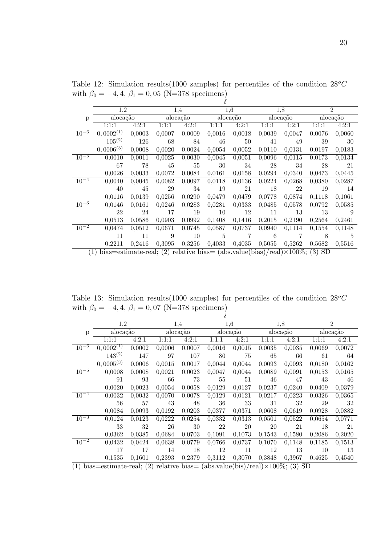|           | $\delta$       |        |        |          |                |                  |                   |        |                |        |  |
|-----------|----------------|--------|--------|----------|----------------|------------------|-------------------|--------|----------------|--------|--|
|           | 1,2            |        |        | 1.4      |                | $\overline{1,6}$ |                   | 1,8    | $\overline{2}$ |        |  |
| p         | alocação       |        |        | alocação | alocação       |                  | alocação          |        | alocação       |        |  |
|           | 1:1:1          | 4:2:1  | 1:1:1  | 4:2:1    | 1:1:1          | 4:2:1            | 1:1:1             | 4:2:1  | 1:1:1          | 4:2:1  |  |
| $10^{-6}$ | $0,0002^{(1)}$ | 0,0003 | 0,0007 | 0,0009   | 0,0016         | 0,0018           | 0,0039            | 0,0047 | 0,0076         | 0,0060 |  |
|           | $105^{(2)}$    | 126    | 68     | 84       | 46             | 50               | 41                | 49     | 39             | -30    |  |
|           | $0,0006^{(3)}$ | 0,0008 | 0,0020 | 0,0024   | 0,0054         | 0,0052           | 0,0110            | 0.0131 | 0.0197         | 0.0183 |  |
| $10^{-5}$ | 0,0010         | 0,0011 | 0,0025 | 0,0030   | 0,0045         | 0,0051           | 0,0096            | 0,0115 | 0.0173         | 0,0134 |  |
|           | 67             | 78     | 45     | 55       | -30            | 34               | 28                | - 34   | 28             | - 21   |  |
|           | 0,0026         | 0,0033 | 0,0072 | 0,0084   | 0,0161         | 0,0158           | 0,0294            | 0,0340 | 0.0473         | 0.0445 |  |
| $10^{-4}$ | 0,0040         | 0.0045 | 0,0082 | 0,0097   | 0,0118         | 0,0136           | 0,0224            | 0,0268 | 0.0380         | 0,0287 |  |
|           | 40             | 45     | 29     | 34       | - 19           | 21               | 18                | 22     | 19             | - 14   |  |
|           | 0,0116         | 0.0139 | 0,0256 | 0,0290   | 0,0479         | 0,0479           | 0,0778            | 0,0874 | 0.1118         | 0,1061 |  |
| $10^{-3}$ | 0,0146         | 0,0161 | 0,0246 | 0,0283   | 0,0281         | 0,0333           | 0,0485            | 0.0578 | 0.0792         | 0.0585 |  |
|           | 22             | 24     | -17    | 19       | $10\,$         | 12               | 11                | - 13   | -13            | - 9    |  |
|           | 0.0513         | 0.0586 | 0,0903 | 0,0992   | 0,1408         | 0,1416           | 0,2015            | 0,2190 | 0,2564         | 0,2461 |  |
| $10^{-2}$ | 0,0474         | 0,0512 | 0,0671 | 0,0745   | 0,0587         | 0,0737           | 0,0940            | 0,1114 | 0,1554         | 0,1148 |  |
|           | 11             | 11     | 9      | 10       | $\overline{5}$ | -7               | - 6               | 7      | 8              | - 5    |  |
|           | 0,2211         | 0.2416 | 0,3095 | 0,3256   | 0,4033         |                  | $0,4035$ $0,5055$ | 0,5262 | 0,5682         | 0,5516 |  |

Table 12: Simulation results (1000 samples) for percentiles of the condition  $28^{\circ}C$ with  $\beta_0 = -4, 4, \beta_1 = 0, 05$  (N=378 specimens)

(1) bias=estimate-real; (2) relative bias=  $(abs.value(bias)/real) \times 100\%$ ; (3) SD

Table 13: Simulation results(1000 samples) for percentiles of the condition  $28^{\circ}C$ with  $\beta_0 = -4, 4, \beta_1 = 0, 07$  (N=378 specimens)

|           | $\delta$                                                                                                                                                                                                                                                                                                                        |        |        |          |                     |           |           |          |          |                |
|-----------|---------------------------------------------------------------------------------------------------------------------------------------------------------------------------------------------------------------------------------------------------------------------------------------------------------------------------------|--------|--------|----------|---------------------|-----------|-----------|----------|----------|----------------|
|           | 1,2                                                                                                                                                                                                                                                                                                                             |        |        | 1.4      |                     | 1,6       |           | 1.8      |          | $\overline{2}$ |
| p         | alocação                                                                                                                                                                                                                                                                                                                        |        |        | alocação |                     | alocação  |           | alocação | alocação |                |
|           | 1:1:1                                                                                                                                                                                                                                                                                                                           | 4:2:1  | 1:1:1  | 4:2:1    | 1:1:1               | 4:2:1     | 1:1:1     | 4:2:1    | 1:1:1    | 4:2:1          |
| $10^{-6}$ | $0,0002^{(1)}$                                                                                                                                                                                                                                                                                                                  | 0,0002 | 0,0006 | 0,0007   | 0,0016              | 0,0015    | 0,0035    | 0,0035   | 0,0069   | 0,0072         |
|           | $143^{(2)}$                                                                                                                                                                                                                                                                                                                     | 147    | 97     | 107      | 80                  | 75        | 65        | 66       | 61       | 64             |
|           | $0,0005^{(3)}$                                                                                                                                                                                                                                                                                                                  | 0,0006 | 0,0015 | 0,0017   | 0,0044              | 0,0044    | 0,0093    | 0,0093   | 0,0180   | 0,0162         |
| $10^{-5}$ | 0,0008                                                                                                                                                                                                                                                                                                                          | 0,0008 | 0,0021 | 0,0023   | $0,\overline{0047}$ | 0,0044    | 0,0089    | 0,0091   | 0,0153   | 0,0165         |
|           | 91                                                                                                                                                                                                                                                                                                                              | 93     | - 66   | 73       | 55                  | 51        | 46        | 47       | 43       | 46             |
|           | 0,0020                                                                                                                                                                                                                                                                                                                          | 0,0023 | 0,0054 | 0,0058   | 0,0129              | 0,0127    | 0,0237    | 0,0240   | 0.0409   | 0,0379         |
| $10^{-4}$ | 0,0032                                                                                                                                                                                                                                                                                                                          | 0,0032 | 0,0070 | 0,0078   | 0,0129              | 0,0121    | 0,0217    | 0,0223   | 0,0326   | 0,0365         |
|           | 56                                                                                                                                                                                                                                                                                                                              | 57     | 43     | 48       | 36                  | 33        | 31        | 32       | 29       | 32             |
|           | 0.0084                                                                                                                                                                                                                                                                                                                          | 0.0093 | 0.0192 | 0,0203   | 0,0377              | 0,0371    | 0,0608    | 0.0619   | 0.0928   | 0,0882         |
| $10^{-3}$ | 0,0124                                                                                                                                                                                                                                                                                                                          | 0,0123 | 0,0222 | 0,0254   | 0,0332              | 0,0313    | 0,0501    | 0,0522   | 0,0654   | 0,0771         |
|           | 33                                                                                                                                                                                                                                                                                                                              | 32     | 26     | 30       | 22                  | <b>20</b> | <b>20</b> | 21       | 18       | 21             |
|           | 0,0362                                                                                                                                                                                                                                                                                                                          | 0,0385 | 0,0684 | 0,0703   | 0,1091              | 0,1073    | 0,1543    | 0,1580   | 0,2086   | 0,2020         |
| $10^{-2}$ | 0,0432                                                                                                                                                                                                                                                                                                                          | 0,0424 | 0,0638 | 0,0779   | 0,0766              | 0,0737    | 0,1070    | 0,1148   | 0,1185   | 0,1513         |
|           | 17                                                                                                                                                                                                                                                                                                                              | 17     | 14     | 18       | 12                  | 11        | 12        | 13       | 10       | -13            |
|           | 0,1535                                                                                                                                                                                                                                                                                                                          | 0,1601 | 0,2393 | 0,2379   | 0,3112              | 0,3070    | 0,3848    | 0,3967   | 0,4625   | 0,4540         |
| $7111: -$ | $\mathcal{L}$ = $\mathcal{L}$ = $\mathcal{L}$ = $\mathcal{L}$ = $\mathcal{L}$ = $\mathcal{L}$ = $\mathcal{L}$ = $\mathcal{L}$ = $\mathcal{L}$ = $\mathcal{L}$ = $\mathcal{L}$ = $\mathcal{L}$ = $\mathcal{L}$ + $\mathcal{L}$ = $\mathcal{L}$ + $\mathcal{L}$ + $\mathcal{L}$ + $\mathcal{L}$ + $\mathcal{L}$ + $\mathcal{L}$ + |        |        |          |                     |           |           |          |          |                |

(1) bias=estimate-real; (2) relative bias=  $(abs.value(bis)/real) \times 100\%$ ; (3) SD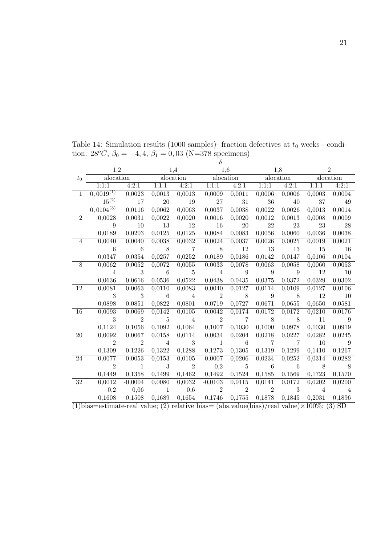|                | $\delta$                                                                                                 |                |                |                           |                           |                |                |                |                |                |
|----------------|----------------------------------------------------------------------------------------------------------|----------------|----------------|---------------------------|---------------------------|----------------|----------------|----------------|----------------|----------------|
|                | 1.2                                                                                                      |                |                | 1,4                       | 1,6                       |                |                | 1,8            |                |                |
| $t_{0}$        | alocation                                                                                                |                |                | alocation                 | alocation                 |                |                | alocation      |                | alocation      |
|                | 1:1:1                                                                                                    | 4:2:1          |                | $1:1:1$ $4:2:1$           |                           | 1:1:1 $4:2:1$  | 1:1:1          | 4:2:1          | 1:1:1          | 4:2:1          |
| $\mathbf{1}$   | $0,0019^{(1)}$                                                                                           | 0,0023         | 0,0013         | 0,0013                    | 0,0009                    | 0,0011         | 0,0006         | 0,0006         | 0,0003         | 0,0004         |
|                | $15^{(2)}$                                                                                               | 17             | $20\,$         | 19                        | 27                        | 31             | 36             | 40             | 37             | 49             |
|                | $0,0104^{(3)}$                                                                                           | 0,0116         | 0,0062         | 0,0063                    | 0,0037                    | 0,0038         | 0,0022         | 0,0026         | 0,0013         | 0,0014         |
| $\overline{2}$ | 0,0028                                                                                                   | 0,0031         | 0,0022         | 0,0020                    | 0,0016                    | 0,0020         | 0,0012         | 0,0013         | 0,0008         | 0,0009         |
|                | 9                                                                                                        | 10             | 13             | 12                        | <b>16</b>                 | $20\,$         | $22\,$         | 23             | 23             | 28             |
|                | 0,0189                                                                                                   | 0,0203         | 0,0125         | 0,0125                    | 0,0084                    | 0,0083         | 0,0056         | 0,0060         | 0,0036         | 0,0038         |
| 4              | 0,0040                                                                                                   | 0,0040         | 0,0038         | 0,0032                    | 0,0024                    | 0,0037         | 0,0026         | 0,0025         | 0,0019         | 0,0021         |
|                | 6                                                                                                        | $\overline{6}$ | 8 <sup>8</sup> | $\overline{7}$            | $\sim$ 8                  | 12             | 13             | 13             | 15             | <sup>16</sup>  |
|                | 0,0347                                                                                                   | 0,0354         | 0,0257         | 0,0252                    | 0,0189                    | 0,0186         | 0,0142         | 0,0147         | 0,0106         | 0,0104         |
| 8              | 0,0062                                                                                                   | 0,0052         | 0,0072         | 0,0055                    | 0,0033                    | 0,0078         | 0,0063         | 0,0058         | 0,0060         | 0,0053         |
|                | $\overline{4}$                                                                                           | 3              | $\overline{6}$ | $\overline{5}$            | $\overline{4}$            | $\overline{9}$ | $\overline{9}$ | $\overline{9}$ | <sup>12</sup>  | <sup>10</sup>  |
|                | 0,0636                                                                                                   | 0,0616         | 0,0536         | 0,0522                    | 0,0438                    | 0,0435         | 0,0375         | 0,0372         | 0,0329         | 0,0302         |
| 12             | 0,0081                                                                                                   | 0,0063         | 0,0110         | 0,0083                    | 0,0040                    | 0,0127         | 0,0114         | 0,0109         | 0,0127         | 0,0106         |
|                | 3                                                                                                        | 3              | $\overline{6}$ | 4                         | $\overline{2}$            | $8\,$          | $\overline{9}$ | 8 <sup>8</sup> | 12             | 10             |
|                | 0,0898                                                                                                   | 0,0851         | 0,0822         | 0,0801                    | 0,0719                    | 0,0727         | 0,0671         | 0,0655         | 0,0650         | 0,0581         |
| 16             | 0,0093                                                                                                   | 0,0069         | 0,0142         | 0,0105                    | 0,0042                    | 0,0174         | 0,0172         | 0,0172         | 0,0210         | 0,0176         |
|                | 3                                                                                                        | 2              | $\overline{5}$ | $\overline{4}$            | $\overline{\phantom{a}2}$ | $\overline{7}$ | 8 <sup>8</sup> | $\sim$ 8       | 11             | $\overline{9}$ |
|                | 0,1124                                                                                                   | 0,1056         | 0,1092         | 0,1064                    | 0,1007                    | 0,1030         | 0,1000         | 0,0978         | 0,1030         | 0,0919         |
| 20             | 0,0092                                                                                                   | 0,0067         | 0,0158         | 0,0114                    | 0,0034                    | 0,0204         | 0,0218         | 0,0227         | 0,0282         | 0,0245         |
|                | $\overline{2}$                                                                                           | $\overline{2}$ | $\overline{4}$ | 3                         | <sup>1</sup>              | $\overline{6}$ | $\overline{7}$ | $\overline{7}$ | 10             | $\overline{9}$ |
|                | 0,1309                                                                                                   | 0,1226         | 0,1322         | 0,1288                    | 0,1273                    | 0,1305         | 0,1319         | 0,1299         | 0,1410         | 0,1267         |
| 24             | 0,0077                                                                                                   | 0,0053         | 0,0153         | 0,0105                    | 0,0007                    | 0,0206         | 0,0234         | 0,0252         | 0,0314         | 0,0282         |
|                | $\overline{2}$                                                                                           | $\sim$ 1       | 3              | $\overline{\phantom{a}2}$ | 0,2                       | $\overline{5}$ | $\sim$ 6       | $\overline{6}$ | $\sim$ 8       | $\sim$ 8       |
|                | 0,1449                                                                                                   | 0,1358         | 0,1499         | 0,1462                    | 0,1492                    | 0,1524         | 0,1585         | 0,1569         | 0,1723         | 0,1570         |
| $32\,$         | 0,0012                                                                                                   | $-0,0004$      | 0,0080         | 0,0032                    | $-0,0103$                 | 0,0115         | 0,0141         | 0,0172         | 0,0202         | 0,0200         |
|                | 0,2                                                                                                      | 0,06           | <sup>1</sup>   | 0,6                       | 2                         | 2              | 2              | 3              | $\overline{4}$ | $\overline{4}$ |
|                | 0,1608                                                                                                   | 0,1508         | 0,1689         | 0,1654                    | 0,1746                    | 0,1755         | 0,1878         | 0,1845         | 0,2031         | 0,1896         |
|                | $\overline{(1)}$ bias=estimate-real value; (2) relative bias= (abs.value(bias)/real value)×100\%; (3) SD |                |                |                           |                           |                |                |                |                |                |

Table 14: Simulation results (1000 samples)- fraction defectives at  $t_0$  weeks - condition:  $28^{\circ}C$ ,  $\beta_0 = -4, 4, \beta_1 = 0, 03$  (N=378 specimens)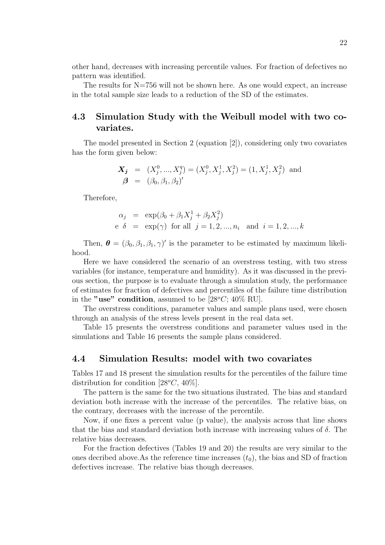other hand, decreases with increasing percentile values. For fraction of defectives no pattern was identified.

The results for  $N=756$  will not be shown here. As one would expect, an increase in the total sample size leads to a reduction of the SD of the estimates.

### 4.3 Simulation Study with the Weibull model with two covariates.

The model presented in Section 2 (equation [2]), considering only two covariates has the form given below:

$$
\mathbf{X_j} = (X_j^0, ..., X_j^q) = (X_j^0, X_j^1, X_j^2) = (1, X_j^1, X_j^2) \text{ and}
$$
  

$$
\boldsymbol{\beta} = (\beta_0, \beta_1, \beta_2)'
$$

Therefore,

$$
\alpha_j = \exp(\beta_0 + \beta_1 X_j^1 + \beta_2 X_j^2)
$$
  
e  $\delta = \exp(\gamma)$  for all  $j = 1, 2, ..., n_i$  and  $i = 1, 2, ..., k$ 

Then,  $\boldsymbol{\theta} = (\beta_0, \beta_1, \beta_1, \gamma)'$  is the parameter to be estimated by maximum likelihood.

Here we have considered the scenario of an overstress testing, with two stress variables (for instance, temperature and humidity). As it was discussed in the previous section, the purpose is to evaluate through a simulation study, the performance of estimates for fraction of defectives and percentiles of the failure time distribution in the "use" condition, assumed to be  $[28^{\circ}C; 40\% \text{ RU}]$ .

The overstress conditions, parameter values and sample plans used, were chosen through an analysis of the stress levels present in the real data set.

Table 15 presents the overstress conditions and parameter values used in the simulations and Table 16 presents the sample plans considered.

#### 4.4 Simulation Results: model with two covariates

Tables 17 and 18 present the simulation results for the percentiles of the failure time distribution for condition  $[28^{\circ}C, 40^{\circ}\%]$ .

The pattern is the same for the two situations ilustrated. The bias and standard deviation both increase with the increase of the percentiles. The relative bias, on the contrary, decreases with the increase of the percentile.

Now, if one fixes a percent value (p value), the analysis across that line shows that the bias and standard deviation both increase with increasing values of  $\delta$ . The relative bias decreases.

For the fraction defectives (Tables 19 and 20) the results are very similar to the ones decribed above. As the reference time increases  $(t_0)$ , the bias and SD of fraction defectives increase. The relative bias though decreases.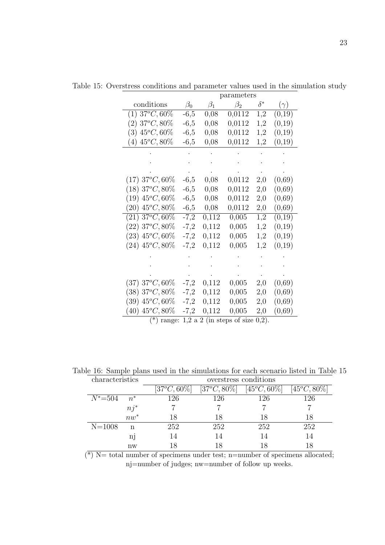|                                |           |           | parameters |            |            |
|--------------------------------|-----------|-----------|------------|------------|------------|
| conditions                     | $\beta_0$ | $\beta_1$ | $\beta_2$  | $\delta^*$ | $(\gamma)$ |
| $(1)$ 37 <sup>o</sup> C, 60\%  | $-6,5$    | 0,08      | 0,0112     | 1,2        | (0,19)     |
| $(2)$ 37°C, 80%                | $-6,5$    | 0,08      | 0,0112     | 1,2        | (0,19)     |
| $(3)$ 45 <sup>o</sup> C, 60\%  | $-6,5$    | 0,08      | 0,0112     | 1,2        | (0,19)     |
| $(4)$ 45 <sup>o</sup> C, 80\%  | $-6,5$    | 0,08      | 0,0112     | 1,2        | (0,19)     |
|                                |           |           |            |            |            |
|                                |           |           |            |            |            |
|                                |           |           |            |            |            |
| $(17)$ 37°C, 60%               | $-6,5$    | 0,08      | 0,0112     | 2,0        | (0,69)     |
| $(18)$ 37°C, 80%               | $-6,5$    | 0,08      | 0,0112     | 2,0        | (0,69)     |
| $(19)$ 45 <sup>o</sup> C, 60\% | $-6,5$    | 0,08      | 0,0112     | 2,0        | (0,69)     |
| $(20)$ 45 <sup>o</sup> C, 80\% | $-6,5$    | 0,08      | 0,0112     | 2,0        | (0,69)     |
| $(21)$ 37°C, 60%               | $-7,2$    | 0,112     | 0,005      | 1,2        | (0,19)     |
| $(22)$ 37°C, 80%               | $-7,2$    | 0,112     | 0,005      | 1,2        | (0,19)     |
| $(23)$ 45 <sup>o</sup> C, 60\% | $-7,2$    | 0,112     | 0,005      | 1,2        | (0,19)     |
| $(24)$ 45 <sup>o</sup> C, 80\% | $-7,2$    | 0,112     | 0,005      | 1,2        | (0,19)     |
|                                |           |           |            |            |            |
|                                |           |           |            |            |            |
|                                |           |           |            |            |            |
| $(37)$ 37°C, 60%               | $-7,2$    | 0,112     | 0,005      | 2,0        | (0,69)     |
| $(38)~37^oC, 80\%$             | $-7,2$    | 0,112     | 0,005      | 2,0        | (0,69)     |
| $(39)$ 45 <sup>o</sup> C, 60\% | $-7,2$    | 0,112     | 0,005      | 2,0        | (0,69)     |
| $(40)$ 45°C, 80%               | $-7,2$    | 0,112     | 0,005      | $_{2,0}$   | (0,69)     |
|                                |           |           |            |            |            |

Table 15: Overstress conditions and parameter values used in the simulation study parameters

 $(*)$  range: 1,2 a 2 (in steps of size  $0,2$ ).

Table 16: Sample plans used in the simulations for each scenario listed in Table 15

| characteristics |                        | overstress conditions |                       |                 |                       |  |  |  |
|-----------------|------------------------|-----------------------|-----------------------|-----------------|-----------------------|--|--|--|
|                 |                        | $[37^oC, 60\%]$       | $[37^{\circ}C, 80\%]$ | $[45^oC, 60\%]$ | $[45^{\circ}C, 80\%]$ |  |  |  |
| $N^* = 504$     | $n^*$                  | 126                   | 126                   | 126             | 126                   |  |  |  |
|                 | $nj^*$                 |                       |                       |                 |                       |  |  |  |
|                 | $nw^*$                 | 18                    | 18                    | 18              |                       |  |  |  |
| $N = 1008$      | n                      | 252                   | 252                   | 252             | 252                   |  |  |  |
|                 | nj                     | 14                    | 14                    | 14              |                       |  |  |  |
|                 | $\mathbf{n}\mathbf{w}$ |                       | 18                    |                 |                       |  |  |  |

 $(*)$  N= total number of specimens under test; n=number of specimens allocated; nj=number of judges; nw=number of follow up weeks.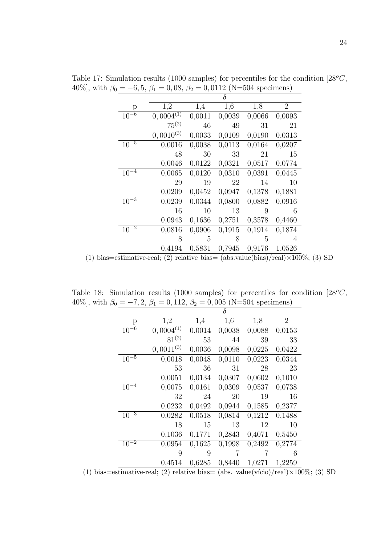|           |                |        | $\delta$ |        |                |
|-----------|----------------|--------|----------|--------|----------------|
| р         | 1,2            | 1,4    | 1,6      | 1,8    | $\overline{2}$ |
| $10^{-6}$ | $0,0004^{(1)}$ | 0,0011 | 0,0039   | 0,0066 | 0,0093         |
|           | $75^{(2)}$     | 46     | 49       | 31     | 21             |
|           | $0,0010^{(3)}$ | 0,0033 | 0,0109   | 0,0190 | 0,0313         |
| $10^{-5}$ | 0,0016         | 0,0038 | 0,0113   | 0,0164 | 0,0207         |
|           | 48             | 30     | 33       | 21     | 15             |
|           | 0,0046         | 0,0122 | 0,0321   | 0,0517 | 0,0774         |
| $10^{-4}$ | 0,0065         | 0,0120 | 0,0310   | 0,0391 | 0,0445         |
|           | 29             | 19     | 22       | 14     | 10             |
|           | 0,0209         | 0,0452 | 0,0947   | 0,1378 | 0,1881         |
| $10^{-3}$ | 0,0239         | 0,0344 | 0,0800   | 0,0882 | 0,0916         |
|           | 16             | 10     | 13       | 9      | 6              |
|           | 0,0943         | 0,1636 | 0,2751   | 0,3578 | 0,4460         |
| $10^{-2}$ | 0,0816         | 0,0906 | 0,1915   | 0,1914 | 0,1874         |
|           | 8              | 5      | 8        | 5      | 4              |
|           | 0,4194         | 0,5831 | 0,7945   | 0,9176 | 1,0526         |

Table 17: Simulation results (1000 samples) for percentiles for the condition  $[28^{\circ}C,$ 40%], with  $\beta_0 = -6, 5, \beta_1 = 0, 08, \beta_2 = 0, 0112$  (N=504 specimens)

(1) bias=estimative-real; (2) relative bias=  $(abs.value(bias)/real) \times 100\%$ ; (3) SD

Table 18: Simulation results (1000 samples) for percentiles for condition  $[28^{\circ}C,$ 40%], with  $\beta_0 = -7, 2, \beta_1 = 0, 112, \beta_2 = 0, 005$  (N=504 specimens)

|           |                |                  | $\delta$ |        |                |
|-----------|----------------|------------------|----------|--------|----------------|
| р         | 1,2            | $1,\overline{4}$ | 1,6      | 1,8    | $\overline{2}$ |
| $10^{-6}$ | $0,0004^{(1)}$ | 0,0014           | 0,0038   | 0,0088 | 0,0153         |
|           | $81^{(2)}$     | 53               | 44       | 39     | 33             |
|           | $0,0011^{(3)}$ | 0,0036           | 0,0098   | 0,0225 | 0,0422         |
| $10^{-5}$ | 0,0018         | 0,0048           | 0,0110   | 0,0223 | 0,0344         |
|           | 53             | 36               | 31       | 28     | 23             |
|           | 0,0051         | 0,0134           | 0,0307   | 0,0602 | 0,1010         |
| $10^{-4}$ | 0,0075         | 0,0161           | 0,0309   | 0,0537 | 0,0738         |
|           | 32             | 24               | 20       | 19     | 16             |
|           | 0,0232         | 0,0492           | 0,0944   | 0,1585 | 0,2377         |
| $10^{-3}$ | 0,0282         | 0,0518           | 0,0814   | 0,1212 | 0,1488         |
|           | 18             | 15               | 13       | 12     | 10             |
|           | 0,1036         | 0,1771           | 0,2843   | 0,4071 | 0,5450         |
| $10^{-2}$ | 0,0954         | 0,1625           | 0,1998   | 0,2492 | 0,2774         |
|           | 9              | 9                | 7        | 7      | 6              |
|           | 0,4514         | 0,6285           | 0,8440   | 1,0271 | 1,2259         |

(1) bias=estimative-real; (2) relative bias= (abs. value(vício)/real) $\times 100\%$ ; (3) SD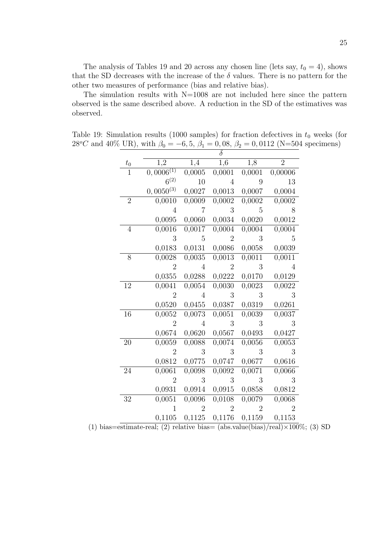The analysis of Tables 19 and 20 across any chosen line (lets say,  $t_0 = 4$ ), shows that the SD decreases with the increase of the  $\delta$  values. There is no pattern for the other two measures of performance (bias and relative bias).

The simulation results with  $N=1008$  are not included here since the pattern observed is the same described above. A reduction in the SD of the estimatives was observed.

Table 19: Simulation results (1000 samples) for fraction defectives in  $t_0$  weeks (for 28<sup>o</sup>C and 40\% UR), with  $\beta_0 = -6, 5, \beta_1 = 0, 08, \beta_2 = 0, 0112$  (N=504 specimens)

| $t_{0}$         | 1,2            | 1,4            | 1,6                 | 1,8            | $\overline{2}$ |
|-----------------|----------------|----------------|---------------------|----------------|----------------|
| $\mathbf{1}$    | $0,0006^{(1)}$ | 0,0005         | $0,000\overline{1}$ | 0,0001         | 0,00006        |
|                 | $6^{(2)}$      | 10             | $\overline{4}$      | 9              | 13             |
|                 | $0,0050^{(3)}$ | 0,0027         | 0,0013              | 0,0007         | 0,0004         |
| $\overline{2}$  | 0,0010         | 0,0009         | 0,0002              | 0,0002         | 0,0002         |
|                 | 4              | 7              | 3                   | 5              | 8              |
|                 | 0,0095         | 0,0060         | 0,0034              | 0,0020         | 0,0012         |
| $\overline{4}$  | 0,0016         | 0,0017         | 0,0004              | 0,0004         | 0,0004         |
|                 | 3              | 5              | $\overline{2}$      | 3              | 5              |
|                 | 0,0183         | 0,0131         | 0,0086              | 0,0058         | 0,0039         |
| 8               | 0,0028         | 0,0035         | 0,0013              | 0,0011         | 0,0011         |
|                 | $\overline{2}$ | $\overline{4}$ | $\overline{2}$      | 3              | 4              |
|                 | 0,0355         | 0,0288         | 0,0222              | 0,0170         | 0,0129         |
| 12              | 0,0041         | 0,0054         | 0,0030              | 0,0023         | 0,0022         |
|                 | $\overline{2}$ | 4              | 3                   | 3              | 3              |
|                 | 0,0520         | 0,0455         | 0,0387              | 0,0319         | 0,0261         |
| 16              | 0,0052         | 0,0073         | 0,0051              | 0,0039         | 0,0037         |
|                 | $\overline{2}$ | 4              | 3                   | 3              | 3              |
|                 | 0,0674         | 0,0620         | 0,0567              | 0,0493         | 0,0427         |
| 20              | 0,0059         | 0,0088         | 0,0074              | 0,0056         | 0,0053         |
|                 | $\overline{2}$ | 3              | 3                   | 3              | 3              |
|                 | 0,0812         | 0,0775         | 0,0747              | 0,0677         | 0,0616         |
| $\overline{24}$ | 0,0061         | 0,0098         | 0,0092              | 0,0071         | 0,0066         |
|                 | $\overline{2}$ | 3              | 3                   | 3              | 3              |
|                 | 0,0931         | 0,0914         | 0,0915              | 0,0858         | 0,0812         |
| 32              | 0,0051         | 0,0096         | 0,0108              | 0,0079         | 0,0068         |
|                 | 1              | $\overline{2}$ | $\overline{2}$      | $\overline{2}$ | $\overline{2}$ |
|                 | 0,1105         | 0,1125         | 0,1176              | 0,1159         | 0,1153         |

(1) bias=estimate-real; (2) relative bias= (abs.value(bias)/real) $\times$ 100%; (3) SD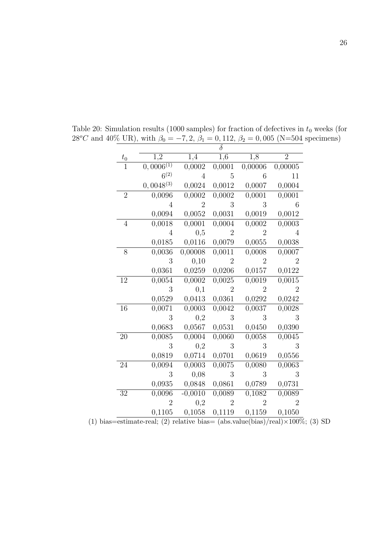|                |                      |                          | $\delta$             |                      |                     |
|----------------|----------------------|--------------------------|----------------------|----------------------|---------------------|
| $t_{0}$        | $1,\overline{2}$     | 1,4                      | $1,\overline{6}$     | 1,8                  | $\overline{2}$      |
|                | $(0,0006^{(1)})$     | 0,0002                   | 0,0001               | 0,00006              | 0,00005             |
|                | $6^{(2)}$            | $\overline{4}$           | 5                    | 6                    | 11                  |
|                | $0,0048^{(3)}$       | 0,0024                   | 0,0012               | 0,0007               | 0,0004              |
| $\overline{2}$ | 0,0096               | 0,0002                   | 0,0002               | 0,0001               | 0,0001              |
|                | 4                    | $\overline{2}$           | 3                    | 3                    | 6                   |
|                | 0,0094               | 0,0052                   | 0,0031               | 0,0019               | 0,0012              |
| 4              | 0,0018               | 0,0001                   | 0,0004               | 0,0002               | 0,0003              |
|                | 4                    | 0,5                      | $\overline{2}$       | $\overline{2}$       | 4                   |
|                | 0,0185               | 0,0116                   | 0,0079               | 0,0055               | 0,0038              |
| 8              | 0,0036               | 0,00008                  | 0,0011               | 0,0008               | 0,0007              |
|                | 3                    | 0,10                     | $\overline{2}$       | $\sqrt{2}$           | $\overline{2}$      |
|                | 0,0361               | 0,0259                   | 0,0206               | 0,0157               | 0,0122              |
| 12             | 0,0054               | 0,0002                   | 0,0025               | 0,0019               | 0,0015              |
|                | 3                    | 0,1                      | $\overline{2}$       | $\overline{2}$       | $\overline{2}$      |
|                | 0,0529               | 0,0413                   | 0,0361               | 0,0292               | 0,0242              |
| 16             | 0,0071               | 0,0003                   | 0,0042               | 0,0037               | 0,0028              |
|                | 3                    | $_{0,2}$                 | 3                    | 3                    | 3                   |
|                | 0,0683               | 0,0567                   | 0,0531               | 0,0450               | 0,0390              |
| 20             | 0,0085               | 0,0004                   | 0,0060               | 0,0058               | 0,0045              |
|                | 3                    | 0,2                      | 3                    | 3                    | 3                   |
|                | 0,0819               | 0,0714                   | 0,0701               | 0,0619               | 0,0556              |
| 24             | 0,0094               | 0,0003                   | 0,0075               | 0,0080               | 0,0063              |
|                | 3                    | 0,08                     | 3                    | 3                    | 3                   |
|                | 0,0935               | 0,0848                   | 0,0861               | 0,0789               | 0,0731              |
| $32\,$         | 0,0096               | $-0,0010$                | 0,0089               | 0,1082               | $\overline{0,}0089$ |
|                | $\overline{2}$       | 0,2                      | $\overline{2}$       | $\overline{2}$       | $\overline{2}$      |
|                | 0,1105<br>$\sqrt{2}$ | 0,1058<br>$\mathbf{1}$ . | 0,1119<br>$\sqrt{1}$ | 0,1159<br>$(1 \cdot$ | 0,1050              |

Table 20: Simulation results (1000 samples) for fraction of defectives in  $t_0$  weeks (for 28<sup>o</sup>C and 40% UR), with  $\beta_0 = -7, 2, \beta_1 = 0, 112, \beta_2 = 0, 005$  (N=504 specimens)

(1) bias=estimate-real; (2) relative bias= (abs.value(bias)/real) $\times$ 100%; (3) SD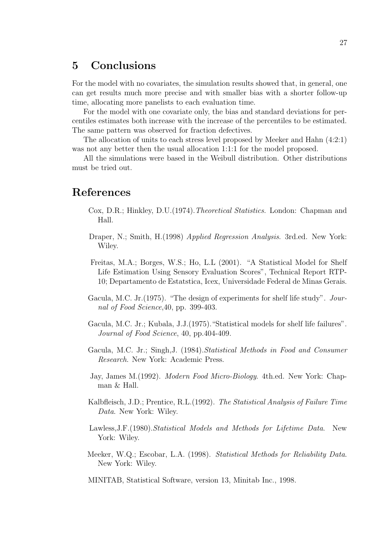## 5 Conclusions

For the model with no covariates, the simulation results showed that, in general, one can get results much more precise and with smaller bias with a shorter follow-up time, allocating more panelists to each evaluation time.

For the model with one covariate only, the bias and standard deviations for percentiles estimates both increase with the increase of the percentiles to be estimated. The same pattern was observed for fraction defectives.

The allocation of units to each stress level proposed by Meeker and Hahn (4:2:1) was not any better then the usual allocation 1:1:1 for the model proposed.

All the simulations were based in the Weibull distribution. Other distributions must be tried out.

## References

- Cox, D.R.; Hinkley, D.U. (1974). *Theoretical Statistics*. London: Chapman and Hall.
- Draper, N.; Smith, H.(1998) Applied Regression Analysis. 3rd.ed. New York: Wiley.
- Freitas, M.A.; Borges, W.S.; Ho, L.L (2001). "A Statistical Model for Shelf Life Estimation Using Sensory Evaluation Scores", Technical Report RTP-10; Departamento de Estatstica, Icex, Universidade Federal de Minas Gerais.
- Gacula, M.C. Jr.(1975). "The design of experiments for shelf life study". Journal of Food Science,40, pp. 399-403.
- Gacula, M.C. Jr.; Kubala, J.J.(1975)."Statistical models for shelf life failures". Journal of Food Science, 40, pp.404-409.
- Gacula, M.C. Jr.; Singh,J. (1984).Statistical Methods in Food and Consumer Research. New York: Academic Press.
- Jay, James M.(1992). Modern Food Micro-Biology. 4th.ed. New York: Chapman & Hall.
- Kalbfleisch, J.D.; Prentice, R.L.(1992). The Statistical Analysis of Failure Time Data. New York: Wiley.
- Lawless, J.F. (1980). Statistical Models and Methods for Lifetime Data. New York: Wiley.
- Meeker, W.Q.; Escobar, L.A. (1998). Statistical Methods for Reliability Data. New York: Wiley.
- MINITAB, Statistical Software, version 13, Minitab Inc., 1998.